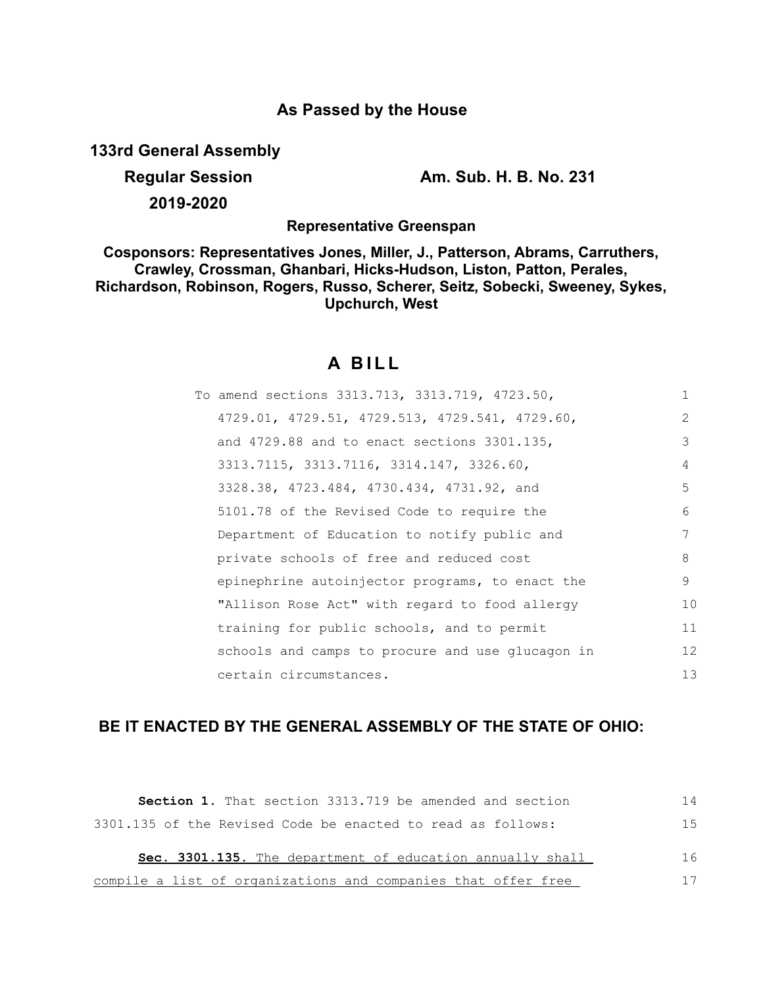## **As Passed by the House**

**133rd General Assembly**

**Regular Session Am. Sub. H. B. No. 231**

**2019-2020**

**Representative Greenspan**

**Cosponsors: Representatives Jones, Miller, J., Patterson, Abrams, Carruthers, Crawley, Crossman, Ghanbari, Hicks-Hudson, Liston, Patton, Perales, Richardson, Robinson, Rogers, Russo, Scherer, Seitz, Sobecki, Sweeney, Sykes, Upchurch, West**

# **A B I L L**

| To amend sections 3313.713, 3313.719, 4723.50,   | 1                 |
|--------------------------------------------------|-------------------|
| 4729.01, 4729.51, 4729.513, 4729.541, 4729.60,   | $\overline{2}$    |
| and $4729.88$ and to enact sections $3301.135$ , | 3                 |
| 3313.7115, 3313.7116, 3314.147, 3326.60,         | 4                 |
| 3328.38, 4723.484, 4730.434, 4731.92, and        | 5                 |
| 5101.78 of the Revised Code to require the       | 6                 |
| Department of Education to notify public and     | 7                 |
| private schools of free and reduced cost         | 8                 |
| epinephrine autoinjector programs, to enact the  | 9                 |
| "Allison Rose Act" with regard to food allergy   | 10                |
| training for public schools, and to permit       | 11                |
| schools and camps to procure and use glucagon in | $12 \overline{ }$ |
| certain circumstances.                           | 13                |
|                                                  |                   |

## **BE IT ENACTED BY THE GENERAL ASSEMBLY OF THE STATE OF OHIO:**

| <b>Section 1.</b> That section 3313.719 be amended and section | 14  |
|----------------------------------------------------------------|-----|
| 3301.135 of the Revised Code be enacted to read as follows:    | 1.5 |
| Sec. 3301.135. The department of education annually shall      | 16  |
| compile a list of organizations and companies that offer free  | 17  |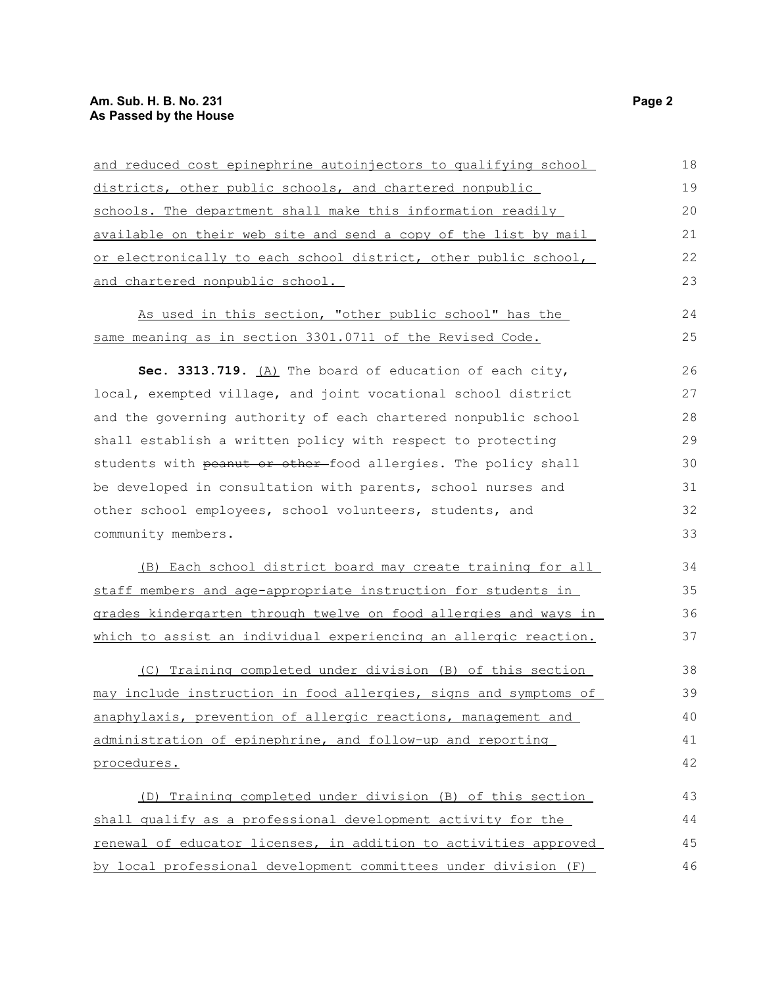### **Am. Sub. H. B. No. 231 Page 2 As Passed by the House**

| and reduced cost epinephrine autoinjectors to qualifying school  | 18 |
|------------------------------------------------------------------|----|
| districts, other public schools, and chartered nonpublic         | 19 |
| schools. The department shall make this information readily      | 20 |
| available on their web site and send a copy of the list by mail  | 21 |
| or electronically to each school district, other public school,  | 22 |
| and chartered nonpublic school.                                  | 23 |
| As used in this section, "other public school" has the           | 24 |
| same meaning as in section 3301.0711 of the Revised Code.        | 25 |
| Sec. 3313.719. $(A)$ The board of education of each city,        | 26 |
| local, exempted village, and joint vocational school district    | 27 |
| and the governing authority of each chartered nonpublic school   | 28 |
| shall establish a written policy with respect to protecting      | 29 |
| students with peanut or other-food allergies. The policy shall   | 30 |
| be developed in consultation with parents, school nurses and     | 31 |
| other school employees, school volunteers, students, and         | 32 |
| community members.                                               | 33 |
| (B) Each school district board may create training for all       | 34 |
| staff members and age-appropriate instruction for students in    | 35 |
| grades kindergarten through twelve on food allergies and ways in | 36 |
| which to assist an individual experiencing an allergic reaction. | 37 |
| (C) Training completed under division (B) of this section        | 38 |
| may include instruction in food allergies, signs and symptoms of | 39 |
| anaphylaxis, prevention of allergic reactions, management and    | 40 |
| administration of epinephrine, and follow-up and reporting       | 41 |
| procedures.                                                      | 42 |
| (D) Training completed under division (B) of this section        | 43 |
| shall qualify as a professional development activity for the     | 44 |
| renewal of educator licenses, in addition to activities approved | 45 |
| by local professional development committees under division (F)  | 46 |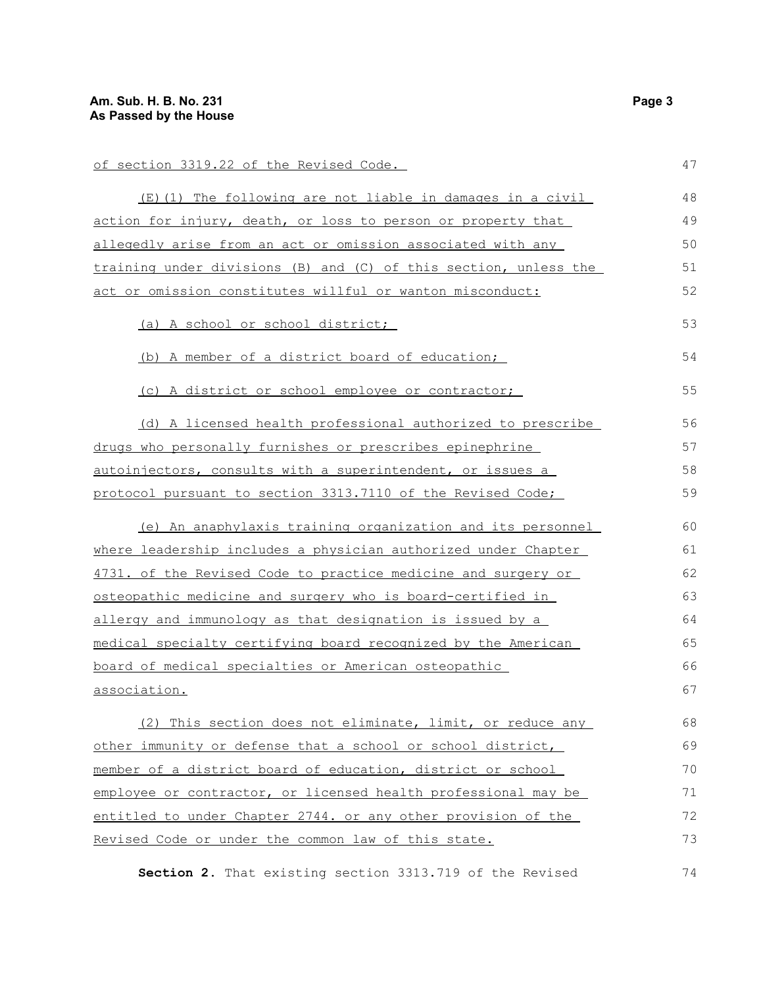| of section 3319.22 of the Revised Code.                             | 47 |
|---------------------------------------------------------------------|----|
| (E)(1) The following are not liable in damages in a civil           | 48 |
| action for injury, death, or loss to person or property that        | 49 |
| <u>allegedly arise from an act or omission associated with any </u> | 50 |
| training under divisions (B) and (C) of this section, unless the    | 51 |
| act or omission constitutes willful or wanton misconduct:           | 52 |
| (a) A school or school district;                                    | 53 |
| (b) A member of a district board of education;                      | 54 |
| (c) A district or school employee or contractor;                    | 55 |
| (d) A licensed health professional authorized to prescribe          | 56 |
| <u>drugs who personally furnishes or prescribes epinephrine </u>    | 57 |
| autoinjectors, consults with a superintendent, or issues a          | 58 |
| protocol pursuant to section 3313.7110 of the Revised Code;         | 59 |
| (e) An anaphylaxis training organization and its personnel          | 60 |
| where leadership includes a physician authorized under Chapter      | 61 |
| 4731. of the Revised Code to practice medicine and surgery or       | 62 |
| <u>osteopathic medicine and surgery who is board-certified in</u>   | 63 |
| allergy and immunology as that designation is issued by a           | 64 |
| medical specialty certifying board recognized by the American       | 65 |
| <u>board of medical specialties or American osteopathic </u>        | 66 |
| <u>association.</u>                                                 | 67 |
| (2) This section does not eliminate, limit, or reduce any           | 68 |
| other immunity or defense that a school or school district,         | 69 |
| <u>member of a district board of education, district or school </u> | 70 |
| employee or contractor, or licensed health professional may be      | 71 |
| entitled to under Chapter 2744. or any other provision of the       | 72 |
| Revised Code or under the common law of this state.                 | 73 |
|                                                                     |    |

**Section 2.** That existing section 3313.719 of the Revised 74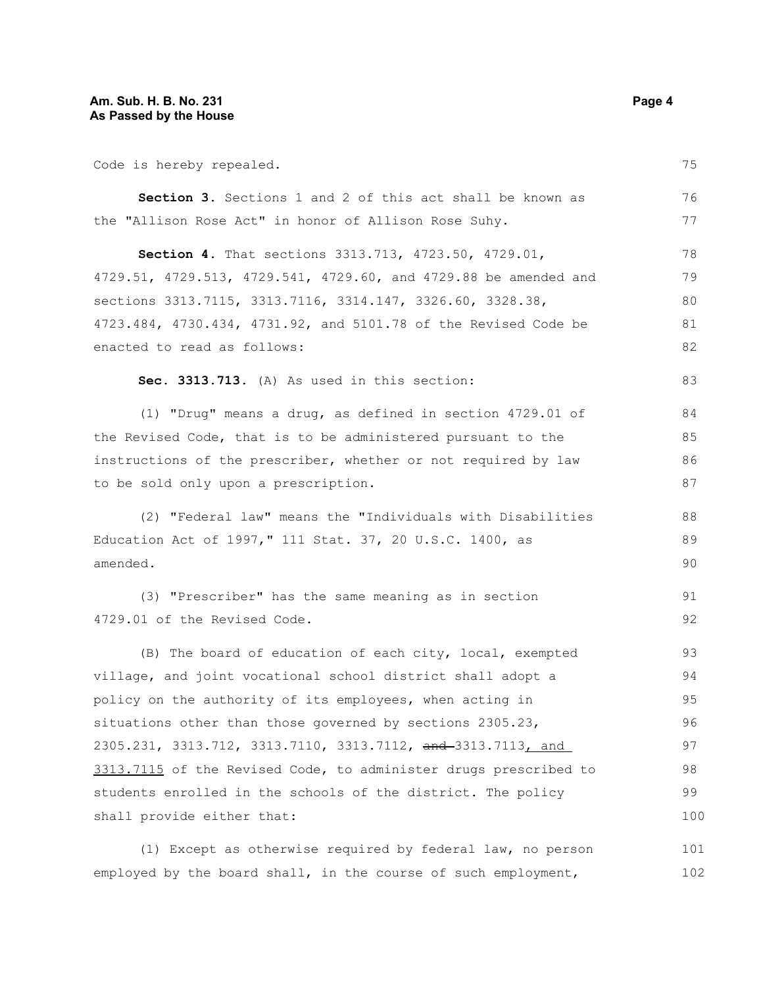Code is hereby repealed.

102

| Code is hereby repealed.                                         | 75  |
|------------------------------------------------------------------|-----|
| Section 3. Sections 1 and 2 of this act shall be known as        | 76  |
| the "Allison Rose Act" in honor of Allison Rose Suhy.            | 77  |
| Section 4. That sections 3313.713, 4723.50, 4729.01,             | 78  |
| 4729.51, 4729.513, 4729.541, 4729.60, and 4729.88 be amended and | 79  |
| sections 3313.7115, 3313.7116, 3314.147, 3326.60, 3328.38,       | 80  |
| 4723.484, 4730.434, 4731.92, and 5101.78 of the Revised Code be  | 81  |
| enacted to read as follows:                                      | 82  |
| Sec. 3313.713. (A) As used in this section:                      | 83  |
| (1) "Drug" means a drug, as defined in section 4729.01 of        | 84  |
| the Revised Code, that is to be administered pursuant to the     | 85  |
| instructions of the prescriber, whether or not required by law   | 86  |
| to be sold only upon a prescription.                             | 87  |
| (2) "Federal law" means the "Individuals with Disabilities       | 88  |
| Education Act of 1997," 111 Stat. 37, 20 U.S.C. 1400, as         | 89  |
| amended.                                                         | 90  |
| (3) "Prescriber" has the same meaning as in section              | 91  |
| 4729.01 of the Revised Code.                                     | 92  |
| (B) The board of education of each city, local, exempted         | 93  |
| village, and joint vocational school district shall adopt a      | 94  |
| policy on the authority of its employees, when acting in         | 95  |
| situations other than those governed by sections 2305.23,        | 96  |
| 2305.231, 3313.712, 3313.7110, 3313.7112, and 3313.7113, and     | 97  |
| 3313.7115 of the Revised Code, to administer drugs prescribed to | 98  |
| students enrolled in the schools of the district. The policy     | 99  |
| shall provide either that:                                       | 100 |
| (1) Except as otherwise required by federal law, no person       | 101 |

employed by the board shall, in the course of such employment,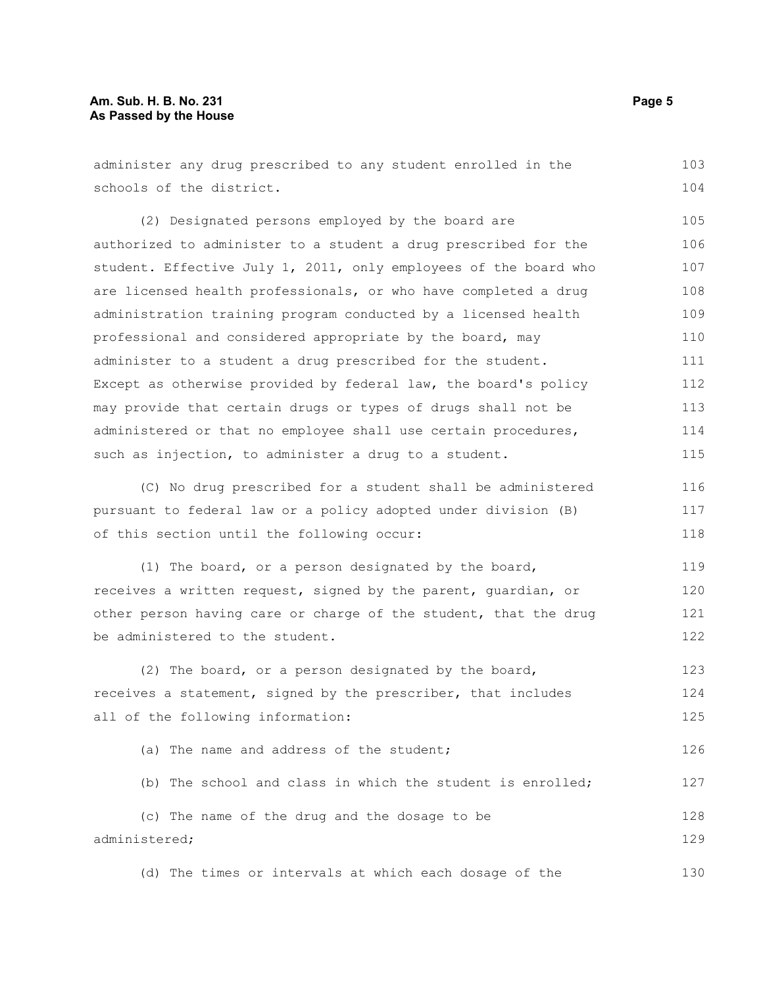#### **Am. Sub. H. B. No. 231 Page 5 As Passed by the House**

administer any drug prescribed to any student enrolled in the schools of the district. (2) Designated persons employed by the board are authorized to administer to a student a drug prescribed for the student. Effective July 1, 2011, only employees of the board who are licensed health professionals, or who have completed a drug administration training program conducted by a licensed health professional and considered appropriate by the board, may administer to a student a drug prescribed for the student. Except as otherwise provided by federal law, the board's policy may provide that certain drugs or types of drugs shall not be administered or that no employee shall use certain procedures, such as injection, to administer a drug to a student. (C) No drug prescribed for a student shall be administered pursuant to federal law or a policy adopted under division (B) of this section until the following occur: (1) The board, or a person designated by the board, receives a written request, signed by the parent, guardian, or other person having care or charge of the student, that the drug be administered to the student. (2) The board, or a person designated by the board, receives a statement, signed by the prescriber, that includes all of the following information: 103 104 105 106 107 108 109 110 111 112 113 114 115 116 117 118 119 120 121 122 123 124 125

(a) The name and address of the student; (b) The school and class in which the student is enrolled; (c) The name of the drug and the dosage to be administered; 126 127 128 129

(d) The times or intervals at which each dosage of the 130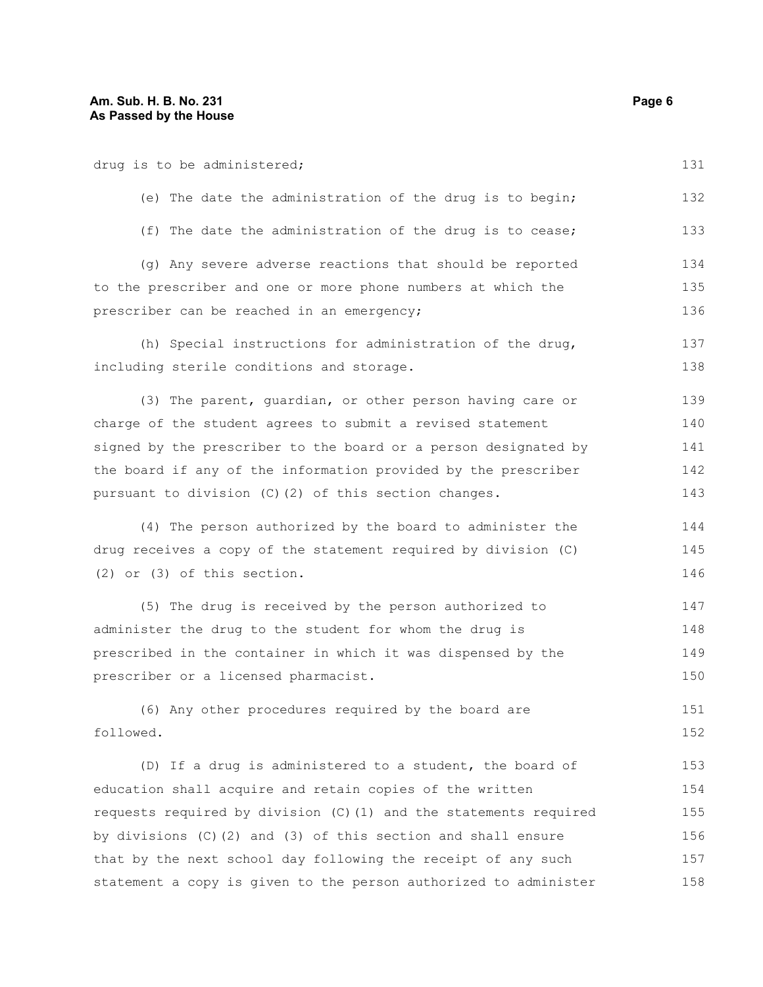| drug is to be administered;                                         | 131 |
|---------------------------------------------------------------------|-----|
| (e) The date the administration of the drug is to begin;            | 132 |
| (f) The date the administration of the drug is to cease;            | 133 |
| (g) Any severe adverse reactions that should be reported            | 134 |
| to the prescriber and one or more phone numbers at which the        | 135 |
| prescriber can be reached in an emergency;                          | 136 |
| (h) Special instructions for administration of the drug,            | 137 |
| including sterile conditions and storage.                           | 138 |
| (3) The parent, guardian, or other person having care or            | 139 |
| charge of the student agrees to submit a revised statement          | 140 |
| signed by the prescriber to the board or a person designated by     | 141 |
| the board if any of the information provided by the prescriber      | 142 |
| pursuant to division (C)(2) of this section changes.                | 143 |
| (4) The person authorized by the board to administer the            | 144 |
| drug receives a copy of the statement required by division (C)      | 145 |
| $(2)$ or $(3)$ of this section.                                     | 146 |
| (5) The drug is received by the person authorized to                | 147 |
| administer the drug to the student for whom the drug is             | 148 |
| prescribed in the container in which it was dispensed by the        | 149 |
| prescriber or a licensed pharmacist.                                | 150 |
| (6) Any other procedures required by the board are                  | 151 |
| followed.                                                           | 152 |
| (D) If a drug is administered to a student, the board of            | 153 |
| education shall acquire and retain copies of the written            | 154 |
| requests required by division (C) (1) and the statements required   | 155 |
| by divisions $(C)$ $(2)$ and $(3)$ of this section and shall ensure | 156 |
| that by the next school day following the receipt of any such       | 157 |
| statement a copy is given to the person authorized to administer    | 158 |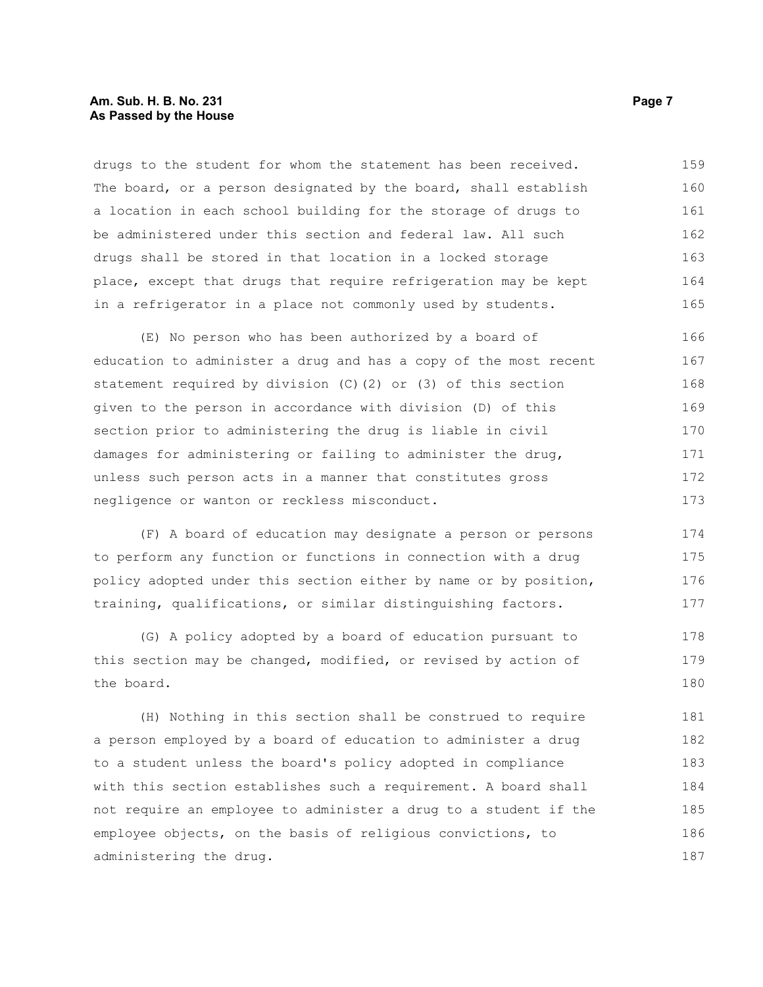#### **Am. Sub. H. B. No. 231 Page 7 Page 7 As Passed by the House**

drugs to the student for whom the statement has been received. The board, or a person designated by the board, shall establish a location in each school building for the storage of drugs to be administered under this section and federal law. All such drugs shall be stored in that location in a locked storage place, except that drugs that require refrigeration may be kept in a refrigerator in a place not commonly used by students. 159 160 161 162 163 164 165

(E) No person who has been authorized by a board of education to administer a drug and has a copy of the most recent statement required by division (C)(2) or (3) of this section given to the person in accordance with division (D) of this section prior to administering the drug is liable in civil damages for administering or failing to administer the drug, unless such person acts in a manner that constitutes gross negligence or wanton or reckless misconduct. 166 167 168 169 170 171 172 173

(F) A board of education may designate a person or persons to perform any function or functions in connection with a drug policy adopted under this section either by name or by position, training, qualifications, or similar distinguishing factors. 174 175 176 177

(G) A policy adopted by a board of education pursuant to this section may be changed, modified, or revised by action of the board. 178 179 180

(H) Nothing in this section shall be construed to require a person employed by a board of education to administer a drug to a student unless the board's policy adopted in compliance with this section establishes such a requirement. A board shall not require an employee to administer a drug to a student if the employee objects, on the basis of religious convictions, to administering the drug. 181 182 183 184 185 186 187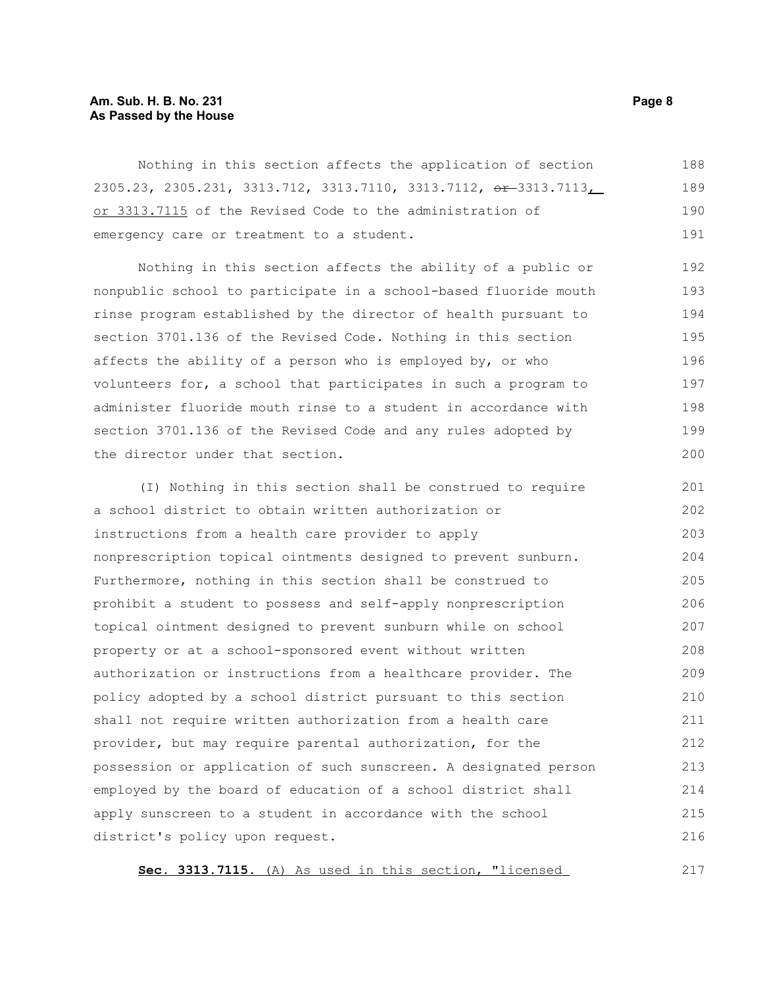#### **Am. Sub. H. B. No. 231 Page 8 As Passed by the House**

Nothing in this section affects the application of section 2305.23, 2305.231, 3313.712, 3313.7110, 3313.7112, <del>or 3</del>313.7113, or 3313.7115 of the Revised Code to the administration of emergency care or treatment to a student. 188 189 190 191

Nothing in this section affects the ability of a public or nonpublic school to participate in a school-based fluoride mouth rinse program established by the director of health pursuant to section 3701.136 of the Revised Code. Nothing in this section affects the ability of a person who is employed by, or who volunteers for, a school that participates in such a program to administer fluoride mouth rinse to a student in accordance with section 3701.136 of the Revised Code and any rules adopted by the director under that section.

(I) Nothing in this section shall be construed to require a school district to obtain written authorization or instructions from a health care provider to apply nonprescription topical ointments designed to prevent sunburn. Furthermore, nothing in this section shall be construed to prohibit a student to possess and self-apply nonprescription topical ointment designed to prevent sunburn while on school property or at a school-sponsored event without written authorization or instructions from a healthcare provider. The policy adopted by a school district pursuant to this section shall not require written authorization from a health care provider, but may require parental authorization, for the possession or application of such sunscreen. A designated person employed by the board of education of a school district shall apply sunscreen to a student in accordance with the school district's policy upon request. 201 202 203 204 205 206 207 208 209 210 211 212 213 214 215 216

**Sec. 3313.7115.** (A) As used in this section, "licensed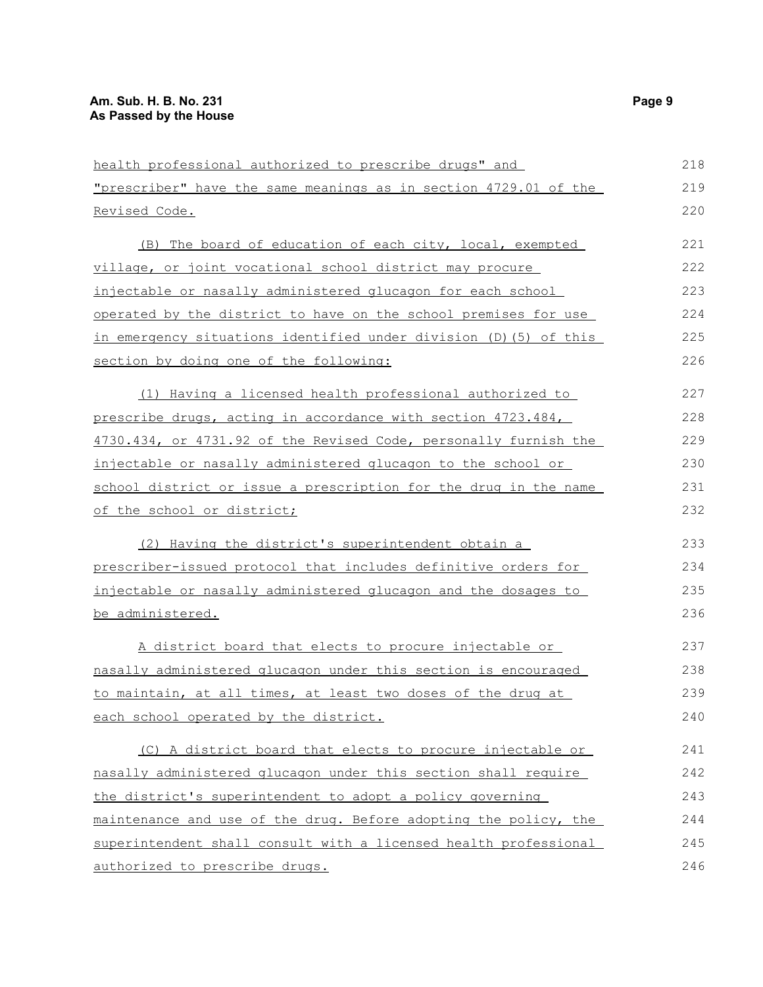### **Am. Sub. H. B. No. 231 Page 9 As Passed by the House**

| health professional authorized to prescribe drugs" and            | 218 |
|-------------------------------------------------------------------|-----|
| "prescriber" have the same meanings as in section 4729.01 of the  | 219 |
| Revised Code.                                                     | 220 |
| (B) The board of education of each city, local, exempted          | 221 |
| village, or joint vocational school district may procure          | 222 |
| injectable or nasally administered glucagon for each school       | 223 |
| operated by the district to have on the school premises for use   | 224 |
| in emergency situations identified under division (D) (5) of this | 225 |
| section by doing one of the following:                            | 226 |
| (1) Having a licensed health professional authorized to           | 227 |
| prescribe drugs, acting in accordance with section 4723.484,      | 228 |
| 4730.434, or 4731.92 of the Revised Code, personally furnish the  | 229 |
| injectable or nasally administered glucagon to the school or      | 230 |
| school district or issue a prescription for the drug in the name  | 231 |
| of the school or district;                                        | 232 |
| (2) Having the district's superintendent obtain a                 | 233 |
| prescriber-issued protocol that includes definitive orders for    | 234 |
| injectable or nasally administered glucagon and the dosages to    | 235 |
| be administered.                                                  | 236 |
| A district board that elects to procure injectable or             | 237 |
| nasally administered glucagon under this section is encouraged    | 238 |
| to maintain, at all times, at least two doses of the drug at      | 239 |
| each school operated by the district.                             | 240 |
| (C) A district board that elects to procure injectable or         | 241 |
| nasally administered glucagon under this section shall require    | 242 |
| the district's superintendent to adopt a policy governing         | 243 |
| maintenance and use of the drug. Before adopting the policy, the  | 244 |
| superintendent shall consult with a licensed health professional  | 245 |
| authorized to prescribe drugs.                                    | 246 |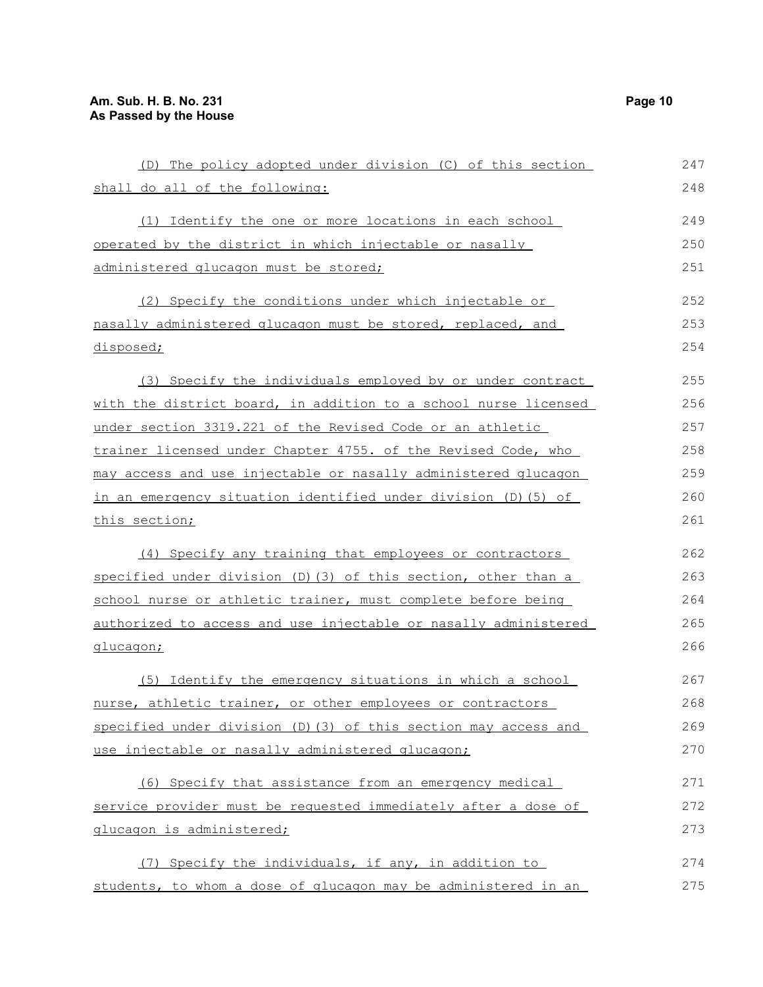| (D) The policy adopted under division (C) of this section              | 247 |
|------------------------------------------------------------------------|-----|
| shall do all of the following:                                         | 248 |
| (1) Identify the one or more locations in each school                  | 249 |
| operated by the district in which injectable or nasally                | 250 |
| administered glucagon must be stored;                                  | 251 |
| (2) Specify the conditions under which injectable or                   | 252 |
| nasally administered glucagon must be stored, replaced, and            | 253 |
| disposed;                                                              | 254 |
| (3) Specify the individuals employed by or under contract              | 255 |
| with the district board, in addition to a school nurse licensed        | 256 |
| under section 3319.221 of the Revised Code or an athletic              | 257 |
| trainer licensed under Chapter 4755. of the Revised Code, who          | 258 |
| may access and use injectable or nasally administered glucagon         | 259 |
| in an emergency situation identified under division (D) (5) of         | 260 |
| <u>this section;</u>                                                   | 261 |
| (4) Specify any training that employees or contractors                 | 262 |
| specified under division (D) (3) of this section, other than a         | 263 |
| school nurse or athletic trainer, must complete before being           | 264 |
| <u>authorized to access and use injectable or nasally administered</u> | 265 |
| <u>glucagon;</u>                                                       | 266 |
| (5) Identify the emergency situations in which a school                | 267 |
| nurse, athletic trainer, or other employees or contractors             | 268 |
| specified under division (D) (3) of this section may access and        | 269 |
| use injectable or nasally administered glucagon;                       | 270 |
| (6) Specify that assistance from an emergency medical                  | 271 |
| service provider must be requested immediately after a dose of         | 272 |
| glucagon is administered;                                              | 273 |
| (7) Specify the individuals, if any, in addition to                    | 274 |
| students, to whom a dose of glucagon may be administered in an         | 275 |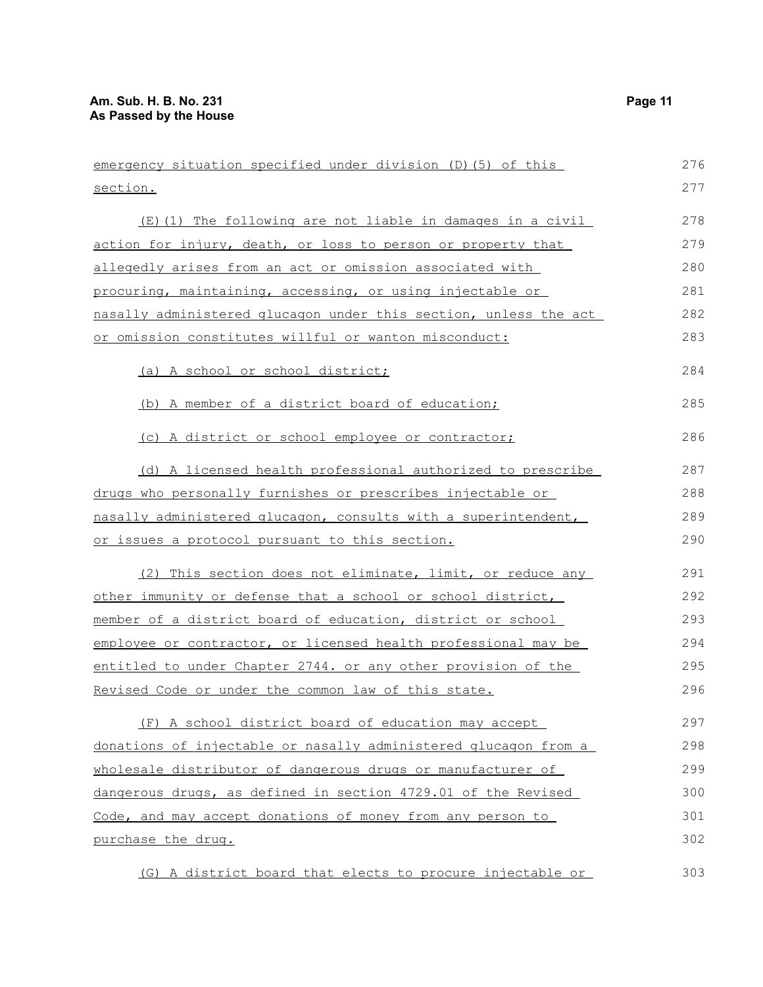| emergency situation specified under division (D) (5) of this     | 276 |
|------------------------------------------------------------------|-----|
| section.                                                         | 277 |
| (E)(1) The following are not liable in damages in a civil        | 278 |
| action for injury, death, or loss to person or property that     | 279 |
| allegedly arises from an act or omission associated with         | 280 |
| procuring, maintaining, accessing, or using injectable or        | 281 |
| nasally administered glucagon under this section, unless the act | 282 |
| or omission constitutes willful or wanton misconduct:            | 283 |
| (a) A school or school district;                                 | 284 |
| (b) A member of a district board of education;                   | 285 |
| (c) A district or school employee or contractor;                 | 286 |
| (d) A licensed health professional authorized to prescribe       | 287 |
| drugs who personally furnishes or prescribes injectable or       | 288 |
| nasally administered glucagon, consults with a superintendent,   | 289 |
| <u>or issues a protocol pursuant to this section.</u>            | 290 |
| (2) This section does not eliminate, limit, or reduce any        | 291 |
| other immunity or defense that a school or school district,      | 292 |
| member of a district board of education, district or school      | 293 |
| employee or contractor, or licensed health professional may be   | 294 |
| entitled to under Chapter 2744. or any other provision of the    | 295 |
| Revised Code or under the common law of this state.              | 296 |
| (F) A school district board of education may accept              | 297 |
| donations of injectable or nasally administered glucagon from a  | 298 |
| wholesale distributor of dangerous drugs or manufacturer of      | 299 |
| dangerous drugs, as defined in section 4729.01 of the Revised    | 300 |
| Code, and may accept donations of money from any person to       | 301 |
| purchase the drug.                                               | 302 |
| (G) A district board that elects to procure injectable or        | 303 |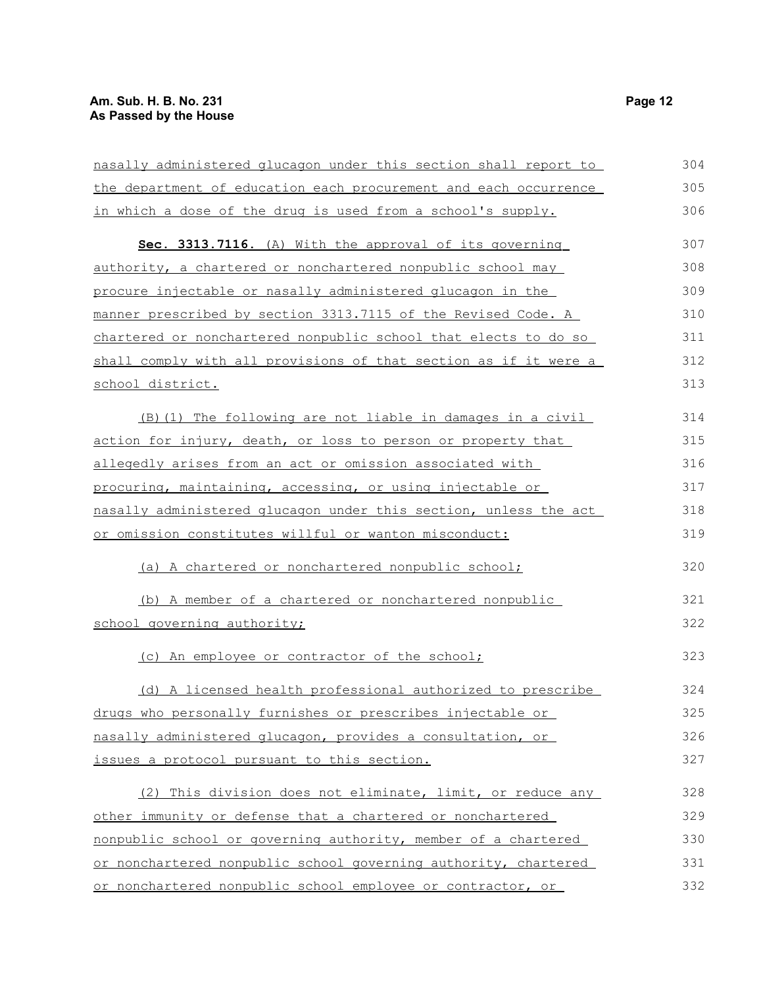| nasally administered glucagon under this section shall report to | 304 |
|------------------------------------------------------------------|-----|
| the department of education each procurement and each occurrence | 305 |
| in which a dose of the drug is used from a school's supply.      | 306 |
| Sec. 3313.7116. (A) With the approval of its governing           | 307 |
| authority, a chartered or nonchartered nonpublic school may      | 308 |
| procure injectable or nasally administered glucagon in the       | 309 |
| manner prescribed by section 3313.7115 of the Revised Code. A    | 310 |
| chartered or nonchartered nonpublic school that elects to do so  | 311 |
| shall comply with all provisions of that section as if it were a | 312 |
| school district.                                                 | 313 |
| (B) (1) The following are not liable in damages in a civil       | 314 |
| action for injury, death, or loss to person or property that     | 315 |
| allegedly arises from an act or omission associated with         | 316 |
| procuring, maintaining, accessing, or using injectable or        | 317 |
| nasally administered glucagon under this section, unless the act | 318 |
| or omission constitutes willful or wanton misconduct:            | 319 |
| (a) A chartered or nonchartered nonpublic school;                | 320 |
| (b) A member of a chartered or nonchartered nonpublic            | 321 |
| school governing authority;                                      | 322 |
| (c) An employee or contractor of the school;                     | 323 |
| (d) A licensed health professional authorized to prescribe       | 324 |
| drugs who personally furnishes or prescribes injectable or       | 325 |
| nasally administered glucagon, provides a consultation, or       | 326 |
| issues a protocol pursuant to this section.                      | 327 |
| (2) This division does not eliminate, limit, or reduce any       | 328 |
| other immunity or defense that a chartered or nonchartered       | 329 |
| nonpublic school or governing authority, member of a chartered   | 330 |
| or nonchartered nonpublic school governing authority, chartered  | 331 |
| or nonchartered nonpublic school employee or contractor, or      | 332 |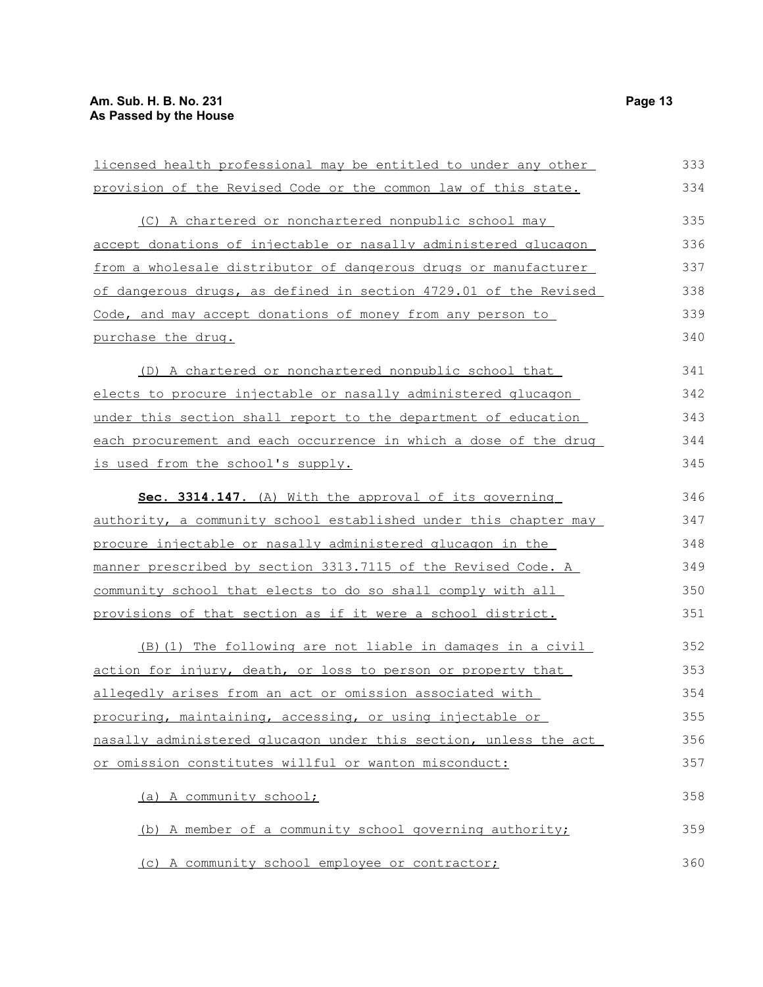provisions of that section as if it were a school district.

action for injury, death, or loss to person or property that

nasally administered glucagon under this section, unless the act

(b) A member of a community school governing authority;

allegedly arises from an act or omission associated with procuring, maintaining, accessing, or using injectable or

(c) A community school employee or contractor;

or omission constitutes willful or wanton misconduct:

(a) A community school;

(B)(1) The following are not liable in damages in a civil

| licensed health professional may be entitled to under any other  | 333 |
|------------------------------------------------------------------|-----|
| provision of the Revised Code or the common law of this state.   | 334 |
| (C) A chartered or nonchartered nonpublic school may             | 335 |
| accept donations of injectable or nasally administered glucagon  | 336 |
| from a wholesale distributor of dangerous drugs or manufacturer  | 337 |
| of dangerous drugs, as defined in section 4729.01 of the Revised | 338 |
| Code, and may accept donations of money from any person to       | 339 |
| purchase the drug.                                               | 340 |
| (D) A chartered or nonchartered nonpublic school that            | 341 |
| elects to procure injectable or nasally administered glucagon    | 342 |
| under this section shall report to the department of education   | 343 |
| each procurement and each occurrence in which a dose of the drug | 344 |
| is used from the school's supply.                                | 345 |
| Sec. 3314.147. (A) With the approval of its governing            | 346 |
| authority, a community school established under this chapter may | 347 |
| procure injectable or nasally administered glucagon in the       | 348 |
| manner prescribed by section 3313.7115 of the Revised Code. A    | 349 |
| community school that elects to do so shall comply with all      | 350 |

351

358

359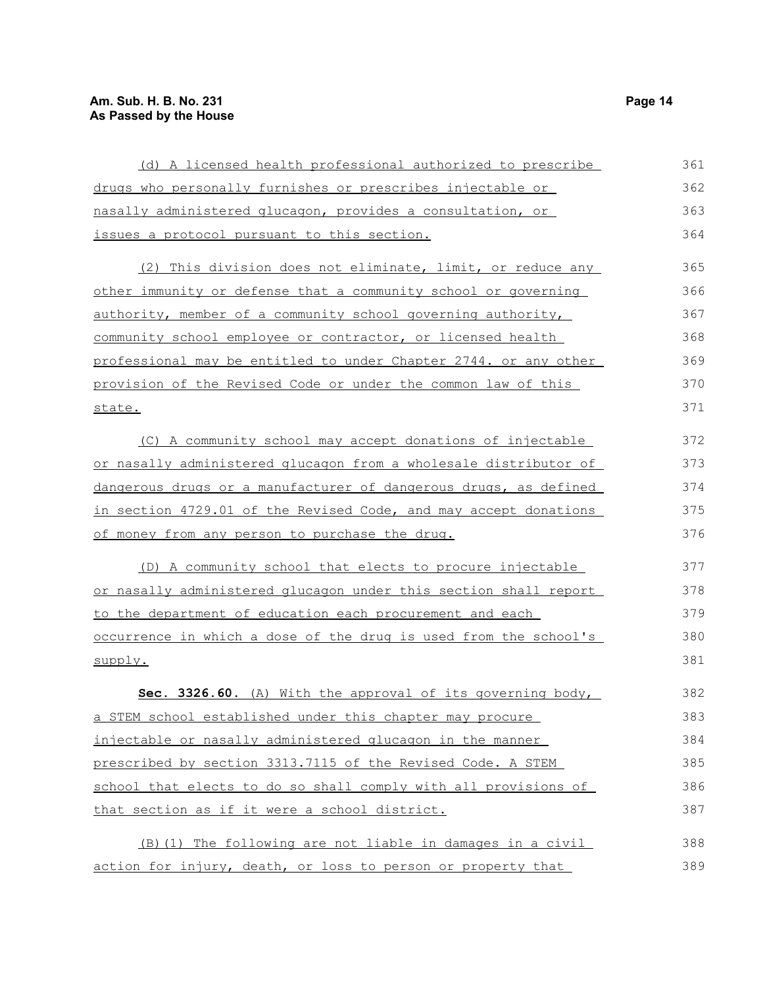### **Am. Sub. H. B. No. 231 Page 14 As Passed by the House**

| (d) A licensed health professional authorized to prescribe       | 361 |
|------------------------------------------------------------------|-----|
| drugs who personally furnishes or prescribes injectable or       | 362 |
| nasally administered glucagon, provides a consultation, or       | 363 |
| issues a protocol pursuant to this section.                      | 364 |
| (2) This division does not eliminate, limit, or reduce any       | 365 |
| other immunity or defense that a community school or governing   | 366 |
| authority, member of a community school governing authority,     | 367 |
| community school employee or contractor, or licensed health      | 368 |
| professional may be entitled to under Chapter 2744. or any other | 369 |
| provision of the Revised Code or under the common law of this    | 370 |
| state.                                                           | 371 |
| (C) A community school may accept donations of injectable        | 372 |
| or nasally administered glucagon from a wholesale distributor of | 373 |
| dangerous drugs or a manufacturer of dangerous drugs, as defined | 374 |
| in section 4729.01 of the Revised Code, and may accept donations | 375 |
| of money from any person to purchase the drug.                   | 376 |
| (D) A community school that elects to procure injectable         | 377 |
| or nasally administered glucagon under this section shall report | 378 |
| to the department of education each procurement and each         | 379 |
| occurrence in which a dose of the drug is used from the school's | 380 |
| supply.                                                          | 381 |
| Sec. 3326.60. (A) With the approval of its governing body,       | 382 |
| a STEM school established under this chapter may procure         | 383 |
| injectable or nasally administered glucagon in the manner        | 384 |
| prescribed by section 3313.7115 of the Revised Code. A STEM      | 385 |
| school that elects to do so shall comply with all provisions of  | 386 |
| that section as if it were a school district.                    | 387 |
| (B) (1) The following are not liable in damages in a civil       | 388 |
| action for injury, death, or loss to person or property that     | 389 |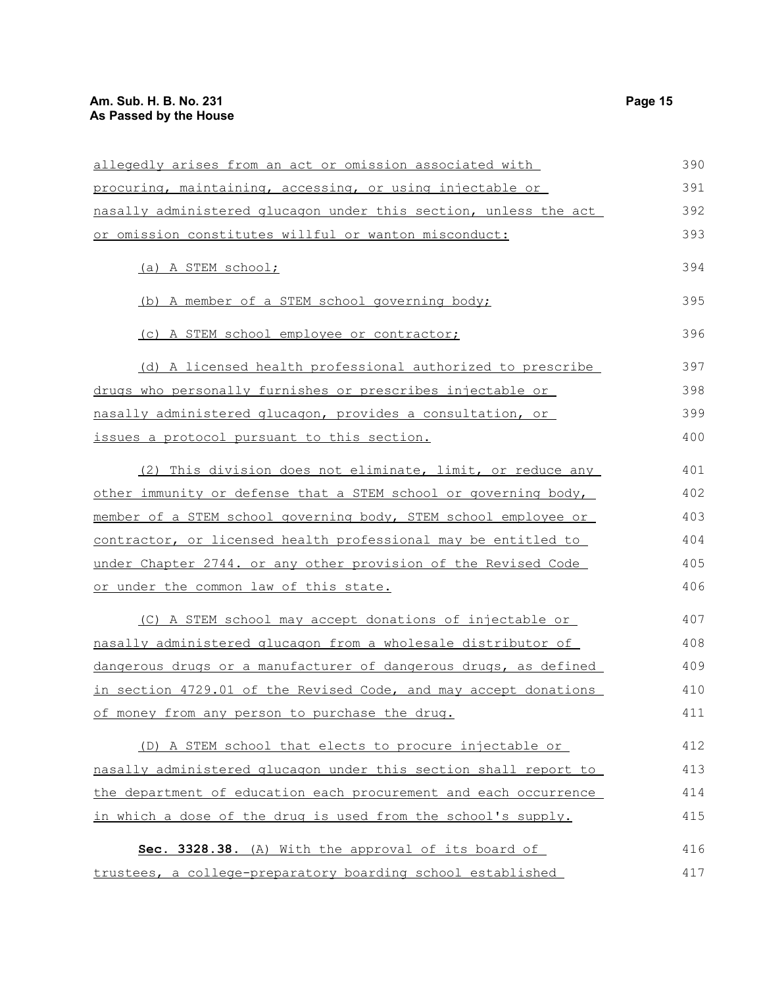### **Am. Sub. H. B. No. 231 Page 15 As Passed by the House**

| procuring, maintaining, accessing, or using injectable or<br>nasally administered glucagon under this section, unless the act<br>or omission constitutes willful or wanton misconduct:<br>(a) A STEM school; | 391<br>392<br>393<br>394<br>395<br>396 |
|--------------------------------------------------------------------------------------------------------------------------------------------------------------------------------------------------------------|----------------------------------------|
|                                                                                                                                                                                                              |                                        |
|                                                                                                                                                                                                              |                                        |
|                                                                                                                                                                                                              |                                        |
|                                                                                                                                                                                                              |                                        |
| (b) A member of a STEM school governing body;                                                                                                                                                                |                                        |
| (c) A STEM school employee or contractor;                                                                                                                                                                    |                                        |
| (d) A licensed health professional authorized to prescribe                                                                                                                                                   | 397                                    |
| drugs who personally furnishes or prescribes injectable or                                                                                                                                                   | 398                                    |
| nasally administered glucagon, provides a consultation, or                                                                                                                                                   | 399                                    |
| issues a protocol pursuant to this section.                                                                                                                                                                  | 400                                    |
| (2) This division does not eliminate, limit, or reduce any                                                                                                                                                   | 401                                    |
| other immunity or defense that a STEM school or governing body,                                                                                                                                              | 402                                    |
| member of a STEM school governing body, STEM school employee or                                                                                                                                              | 403                                    |
| contractor, or licensed health professional may be entitled to                                                                                                                                               | 404                                    |
| under Chapter 2744. or any other provision of the Revised Code                                                                                                                                               | 405                                    |
| or under the common law of this state.                                                                                                                                                                       | 406                                    |
| (C) A STEM school may accept donations of injectable or                                                                                                                                                      | 407                                    |
| nasally administered glucagon from a wholesale distributor of                                                                                                                                                | 408                                    |
| dangerous drugs or a manufacturer of dangerous drugs, as defined                                                                                                                                             | 409                                    |
| in section 4729.01 of the Revised Code, and may accept donations                                                                                                                                             | 410                                    |
| of money from any person to purchase the drug.                                                                                                                                                               | 411                                    |
| (D) A STEM school that elects to procure injectable or                                                                                                                                                       | 412                                    |
| nasally administered glucagon under this section shall report to                                                                                                                                             | 413                                    |
| the department of education each procurement and each occurrence                                                                                                                                             | 414                                    |
| in which a dose of the drug is used from the school's supply.                                                                                                                                                | 415                                    |
| Sec. 3328.38. (A) With the approval of its board of                                                                                                                                                          | 416                                    |
| trustees, a college-preparatory boarding school established                                                                                                                                                  | 417                                    |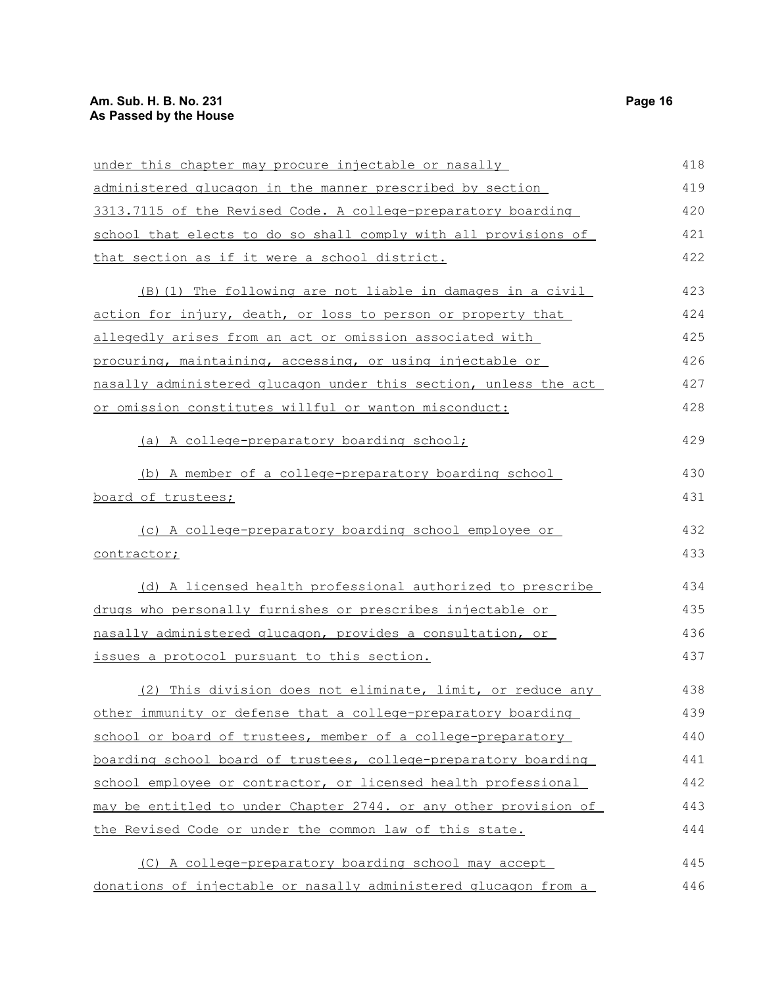### **Am. Sub. H. B. No. 231 Page 16 As Passed by the House**

| under this chapter may procure injectable or nasally             | 418 |
|------------------------------------------------------------------|-----|
| administered glucagon in the manner prescribed by section        | 419 |
| 3313.7115 of the Revised Code. A college-preparatory boarding    | 420 |
| school that elects to do so shall comply with all provisions of  | 421 |
| that section as if it were a school district.                    | 422 |
| (B) (1) The following are not liable in damages in a civil       | 423 |
| action for injury, death, or loss to person or property that     | 424 |
| allegedly arises from an act or omission associated with         | 425 |
| procuring, maintaining, accessing, or using injectable or        | 426 |
| nasally administered glucagon under this section, unless the act | 427 |
| or omission constitutes willful or wanton misconduct:            | 428 |
| (a) A college-preparatory boarding school;                       | 429 |
| (b) A member of a college-preparatory boarding school            | 430 |
| board of trustees;                                               | 431 |
| (c) A college-preparatory boarding school employee or            | 432 |
| contractor;                                                      | 433 |
| (d) A licensed health professional authorized to prescribe       | 434 |
| drugs who personally furnishes or prescribes injectable or       | 435 |
| nasally administered glucagon, provides a consultation, or       | 436 |
| issues a protocol pursuant to this section.                      | 437 |
| (2) This division does not eliminate, limit, or reduce any       | 438 |
| other immunity or defense that a college-preparatory boarding    | 439 |
| school or board of trustees, member of a college-preparatory     | 440 |
| boarding school board of trustees, college-preparatory boarding  | 441 |
| school employee or contractor, or licensed health professional   | 442 |
| may be entitled to under Chapter 2744. or any other provision of | 443 |
| the Revised Code or under the common law of this state.          | 444 |
| (C) A college-preparatory boarding school may accept             | 445 |
| donations of injectable or nasally administered glucagon from a  | 446 |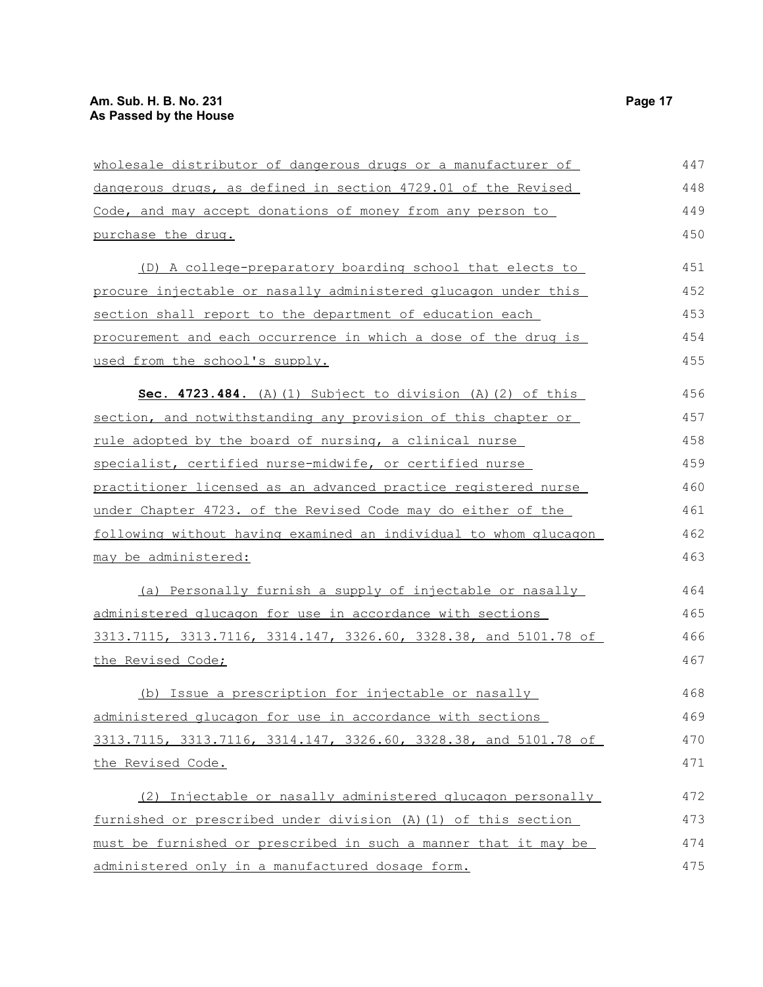| wholesale distributor of dangerous drugs or a manufacturer of    | 447 |
|------------------------------------------------------------------|-----|
| dangerous drugs, as defined in section 4729.01 of the Revised    | 448 |
| Code, and may accept donations of money from any person to       | 449 |
| purchase the drug.                                               | 450 |
| (D) A college-preparatory boarding school that elects to         | 451 |
| procure injectable or nasally administered glucagon under this   | 452 |
| section shall report to the department of education each         | 453 |
| procurement and each occurrence in which a dose of the drug is   | 454 |
| used from the school's supply.                                   | 455 |
| Sec. 4723.484. (A) (1) Subject to division (A) (2) of this       | 456 |
| section, and notwithstanding any provision of this chapter or    | 457 |
| rule adopted by the board of nursing, a clinical nurse           | 458 |
| specialist, certified nurse-midwife, or certified nurse          | 459 |
| practitioner licensed as an advanced practice registered nurse   | 460 |
| under Chapter 4723. of the Revised Code may do either of the     | 461 |
| following without having examined an individual to whom glucagon | 462 |
| may be administered:                                             | 463 |
| (a) Personally furnish a supply of injectable or nasally         | 464 |
| administered glucagon for use in accordance with sections        | 465 |
| 3313.7115, 3313.7116, 3314.147, 3326.60, 3328.38, and 5101.78 of | 466 |
| the Revised Code;                                                | 467 |
| (b) Issue a prescription for injectable or nasally               | 468 |
| administered glucagon for use in accordance with sections        | 469 |
| 3313.7115, 3313.7116, 3314.147, 3326.60, 3328.38, and 5101.78 of | 470 |
| the Revised Code.                                                | 471 |
| (2) Injectable or nasally administered glucagon personally       | 472 |
| furnished or prescribed under division (A) (1) of this section   | 473 |
| must be furnished or prescribed in such a manner that it may be  | 474 |
| administered only in a manufactured dosage form.                 | 475 |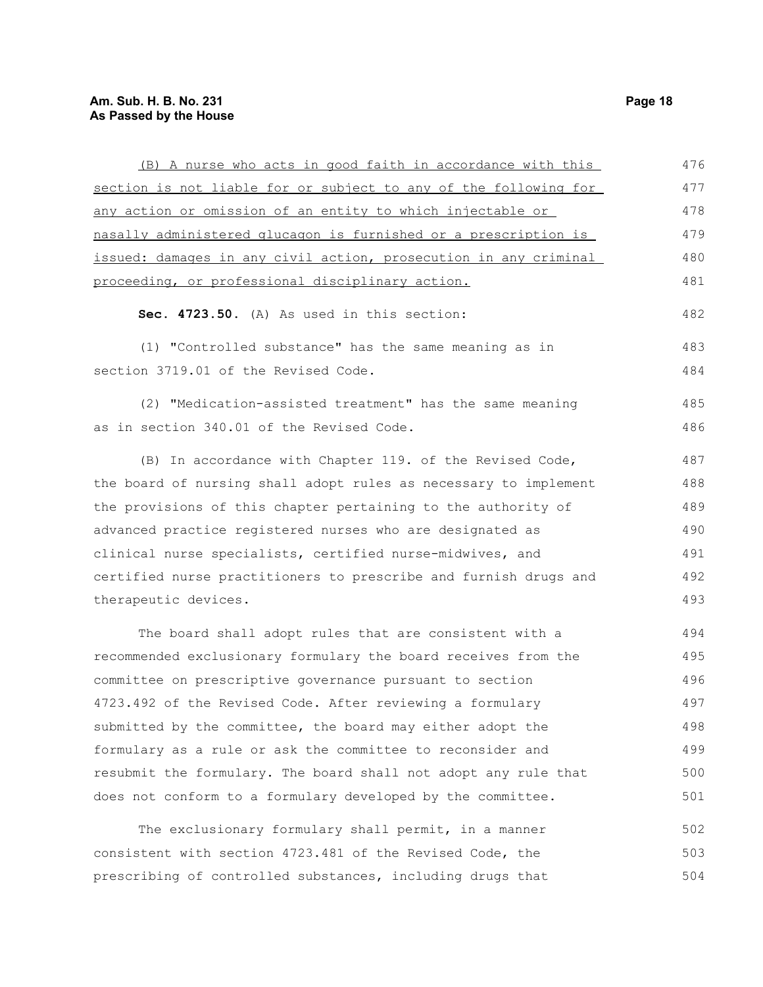### **Am. Sub. H. B. No. 231 Page 18 As Passed by the House**

| (B) A nurse who acts in good faith in accordance with this       | 476 |
|------------------------------------------------------------------|-----|
| section is not liable for or subject to any of the following for | 477 |
| any action or omission of an entity to which injectable or       | 478 |
| nasally administered glucagon is furnished or a prescription is  | 479 |
| issued: damages in any civil action, prosecution in any criminal | 480 |
| proceeding, or professional disciplinary action.                 | 481 |
| Sec. 4723.50. (A) As used in this section:                       | 482 |
| (1) "Controlled substance" has the same meaning as in            | 483 |
| section 3719.01 of the Revised Code.                             | 484 |
| (2) "Medication-assisted treatment" has the same meaning         | 485 |
| as in section 340.01 of the Revised Code.                        | 486 |
|                                                                  |     |
| (B) In accordance with Chapter 119. of the Revised Code,         | 487 |
| the board of nursing shall adopt rules as necessary to implement | 488 |
| the provisions of this chapter pertaining to the authority of    | 489 |
| advanced practice registered nurses who are designated as        | 490 |
| clinical nurse specialists, certified nurse-midwives, and        | 491 |
| certified nurse practitioners to prescribe and furnish drugs and | 492 |
| therapeutic devices.                                             | 493 |
| The board shall adopt rules that are consistent with a           | 494 |
| recommended exclusionary formulary the board receives from the   | 495 |
| committee on prescriptive governance pursuant to section         | 496 |
| 4723.492 of the Revised Code. After reviewing a formulary        | 497 |
| submitted by the committee, the board may either adopt the       | 498 |
| formulary as a rule or ask the committee to reconsider and       | 499 |
| resubmit the formulary. The board shall not adopt any rule that  | 500 |
| does not conform to a formulary developed by the committee.      | 501 |
|                                                                  |     |
| The exclusionary formulary shall permit, in a manner             | 502 |
| consistent with section 4723.481 of the Revised Code, the        | 503 |
| prescribing of controlled substances, including drugs that       | 504 |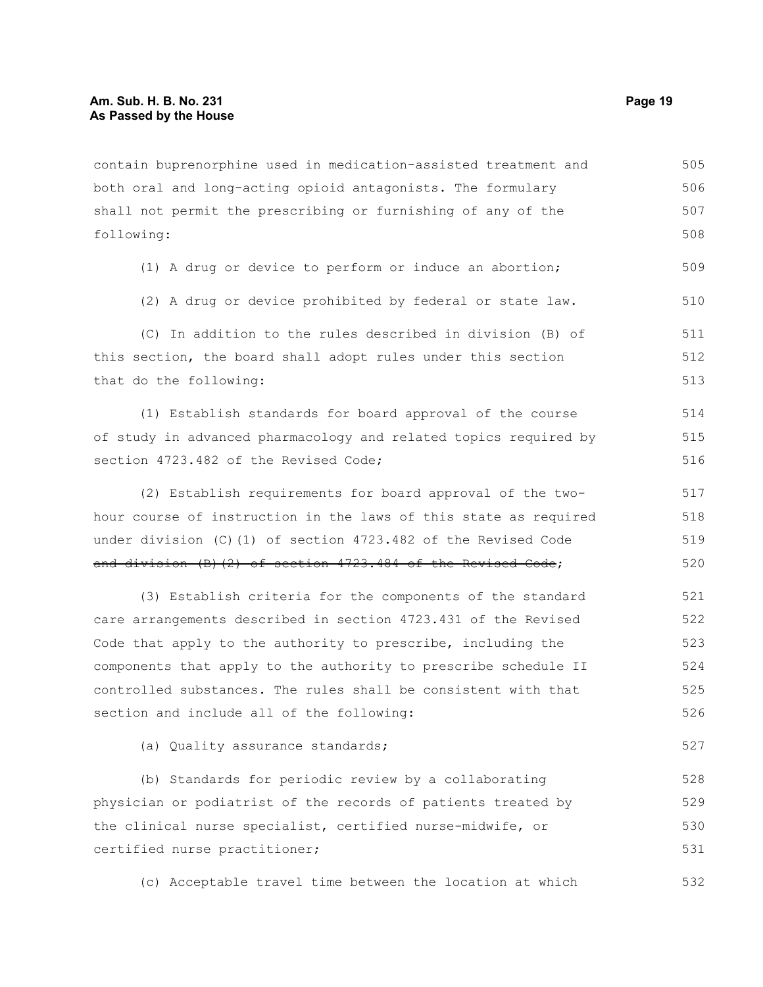contain buprenorphine used in medication-assisted treatment and both oral and long-acting opioid antagonists. The formulary shall not permit the prescribing or furnishing of any of the following: (1) A drug or device to perform or induce an abortion; (2) A drug or device prohibited by federal or state law. (C) In addition to the rules described in division (B) of this section, the board shall adopt rules under this section that do the following: (1) Establish standards for board approval of the course of study in advanced pharmacology and related topics required by section 4723.482 of the Revised Code; (2) Establish requirements for board approval of the twohour course of instruction in the laws of this state as required 505 506 507 508 509 510 511 512 513 514 515 516 517 518

under division (C)(1) of section 4723.482 of the Revised Code and division (B)(2) of section 4723.484 of the Revised Code; 519 520

(3) Establish criteria for the components of the standard care arrangements described in section 4723.431 of the Revised Code that apply to the authority to prescribe, including the components that apply to the authority to prescribe schedule II controlled substances. The rules shall be consistent with that section and include all of the following: 521 522 523 524 525 526

(a) Quality assurance standards;

(b) Standards for periodic review by a collaborating physician or podiatrist of the records of patients treated by the clinical nurse specialist, certified nurse-midwife, or certified nurse practitioner; 528 529 530 531

(c) Acceptable travel time between the location at which 532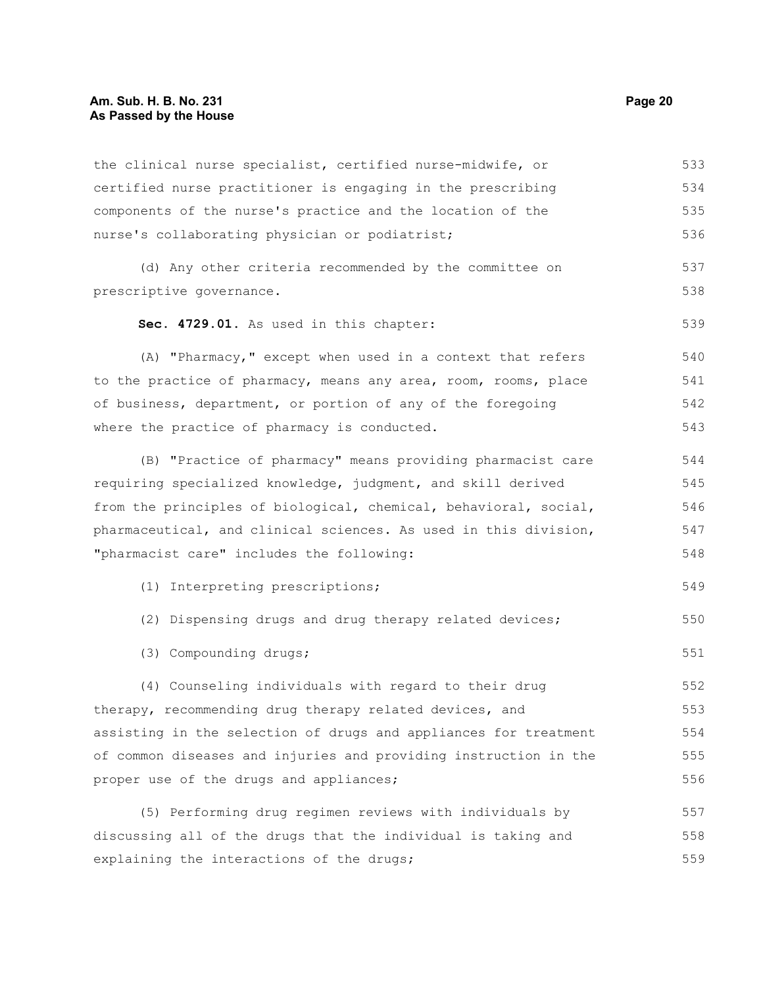the clinical nurse specialist, certified nurse-midwife, or certified nurse practitioner is engaging in the prescribing components of the nurse's practice and the location of the nurse's collaborating physician or podiatrist; (d) Any other criteria recommended by the committee on prescriptive governance. **Sec. 4729.01.** As used in this chapter: (A) "Pharmacy," except when used in a context that refers to the practice of pharmacy, means any area, room, rooms, place of business, department, or portion of any of the foregoing where the practice of pharmacy is conducted. (B) "Practice of pharmacy" means providing pharmacist care requiring specialized knowledge, judgment, and skill derived from the principles of biological, chemical, behavioral, social, pharmaceutical, and clinical sciences. As used in this division, "pharmacist care" includes the following: (1) Interpreting prescriptions; (2) Dispensing drugs and drug therapy related devices; (3) Compounding drugs; (4) Counseling individuals with regard to their drug therapy, recommending drug therapy related devices, and assisting in the selection of drugs and appliances for treatment of common diseases and injuries and providing instruction in the proper use of the drugs and appliances; (5) Performing drug regimen reviews with individuals by discussing all of the drugs that the individual is taking and explaining the interactions of the drugs; 533 534 535 536 537 538 539 540 541 542 543 544 545 546 547 548 549 550 551 552 553 554 555 556 557 558 559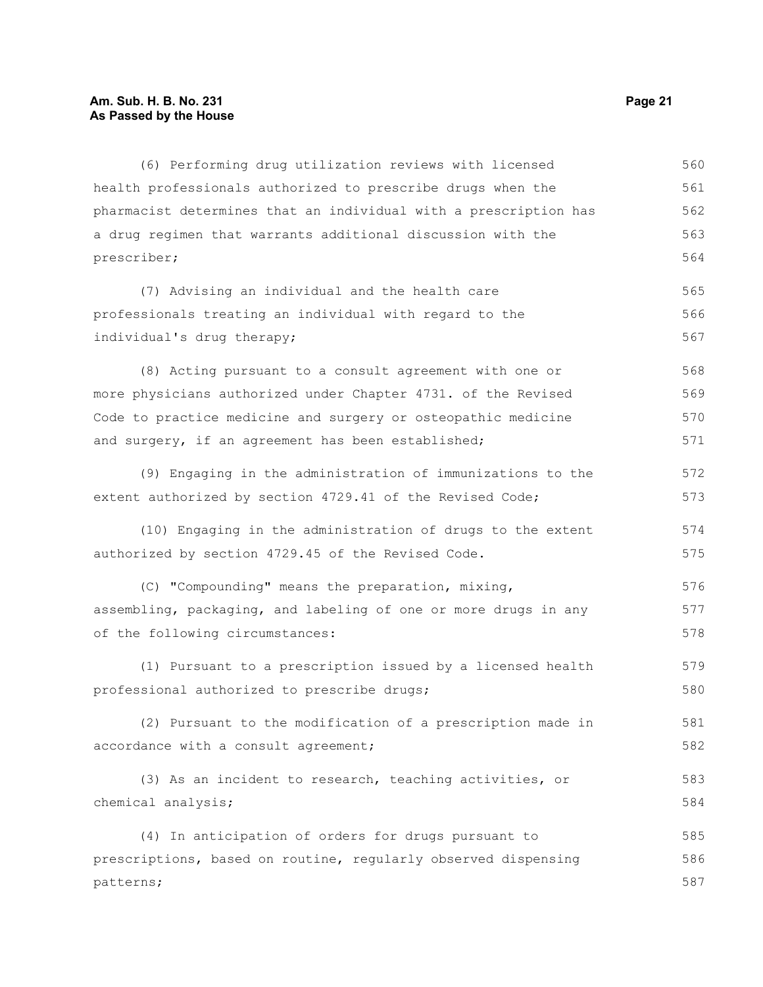#### **Am. Sub. H. B. No. 231 Page 21 As Passed by the House**

(6) Performing drug utilization reviews with licensed health professionals authorized to prescribe drugs when the pharmacist determines that an individual with a prescription has a drug regimen that warrants additional discussion with the prescriber; (7) Advising an individual and the health care professionals treating an individual with regard to the individual's drug therapy; (8) Acting pursuant to a consult agreement with one or more physicians authorized under Chapter 4731. of the Revised Code to practice medicine and surgery or osteopathic medicine and surgery, if an agreement has been established; (9) Engaging in the administration of immunizations to the extent authorized by section 4729.41 of the Revised Code; (10) Engaging in the administration of drugs to the extent authorized by section 4729.45 of the Revised Code. (C) "Compounding" means the preparation, mixing, assembling, packaging, and labeling of one or more drugs in any of the following circumstances: (1) Pursuant to a prescription issued by a licensed health professional authorized to prescribe drugs; (2) Pursuant to the modification of a prescription made in accordance with a consult agreement; (3) As an incident to research, teaching activities, or chemical analysis; (4) In anticipation of orders for drugs pursuant to prescriptions, based on routine, regularly observed dispensing patterns; 560 561 562 563 564 565 566 567 568 569 570 571 572 573 574 575 576 577 578 579 580 581 582 583 584 585 586 587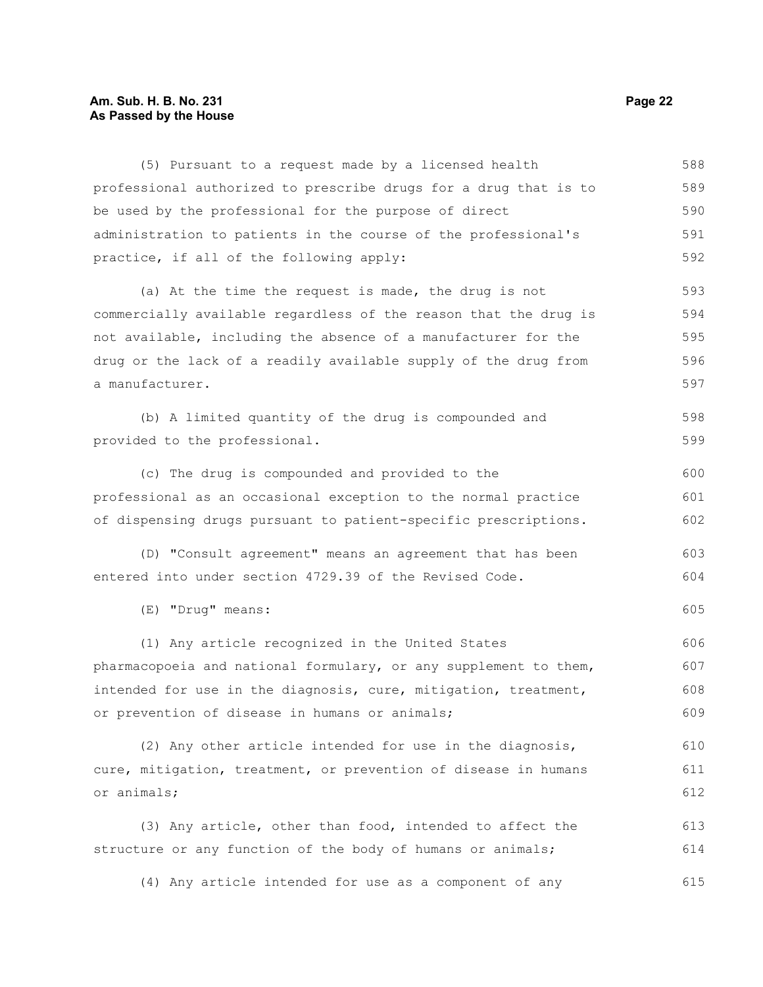### **Am. Sub. H. B. No. 231 Page 22 As Passed by the House**

| (5) Pursuant to a request made by a licensed health              | 588 |
|------------------------------------------------------------------|-----|
| professional authorized to prescribe drugs for a drug that is to | 589 |
| be used by the professional for the purpose of direct            | 590 |
| administration to patients in the course of the professional's   | 591 |
| practice, if all of the following apply:                         | 592 |
| (a) At the time the request is made, the drug is not             | 593 |
| commercially available regardless of the reason that the drug is | 594 |
| not available, including the absence of a manufacturer for the   | 595 |
| drug or the lack of a readily available supply of the drug from  | 596 |
| a manufacturer.                                                  | 597 |
| (b) A limited quantity of the drug is compounded and             | 598 |
| provided to the professional.                                    | 599 |
| (c) The drug is compounded and provided to the                   | 600 |
| professional as an occasional exception to the normal practice   | 601 |
| of dispensing drugs pursuant to patient-specific prescriptions.  | 602 |
| (D) "Consult agreement" means an agreement that has been         | 603 |
| entered into under section 4729.39 of the Revised Code.          | 604 |
| (E) "Drug" means:                                                | 605 |
| (1) Any article recognized in the United States                  | 606 |
| pharmacopoeia and national formulary, or any supplement to them, | 607 |
| intended for use in the diagnosis, cure, mitigation, treatment,  | 608 |
| or prevention of disease in humans or animals;                   | 609 |
| (2) Any other article intended for use in the diagnosis,         | 610 |
| cure, mitigation, treatment, or prevention of disease in humans  | 611 |
| or animals;                                                      | 612 |
| (3) Any article, other than food, intended to affect the         | 613 |
| structure or any function of the body of humans or animals;      | 614 |
| (4) Any article intended for use as a component of any           | 615 |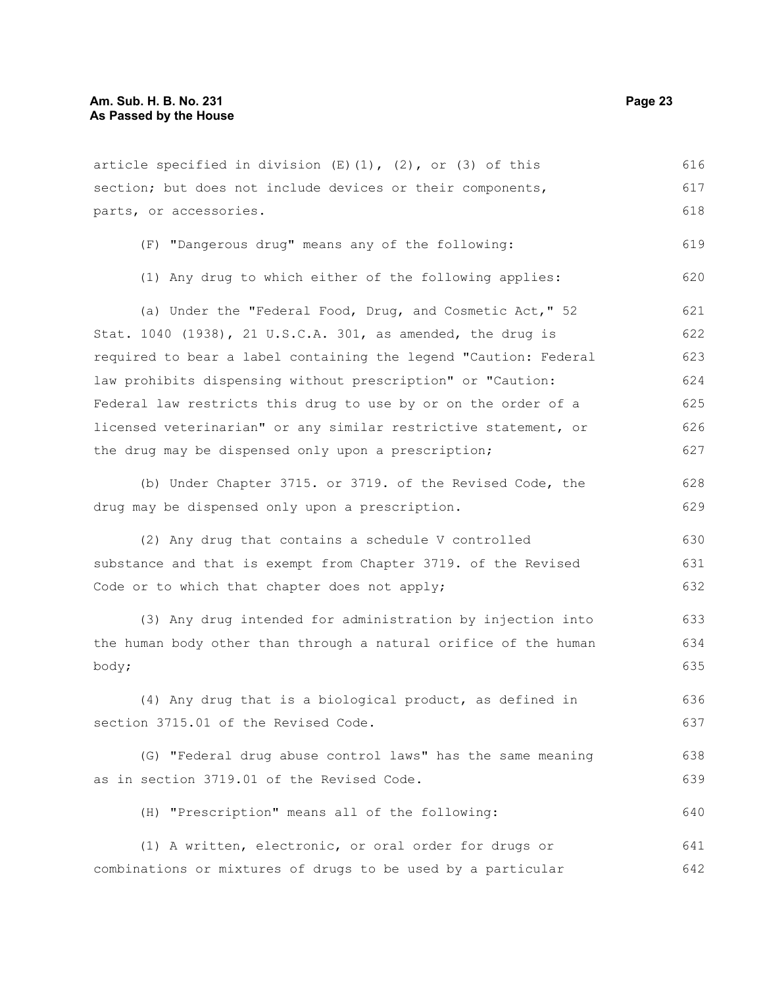| article specified in division $(E)$ (1), (2), or (3) of this     | 616 |
|------------------------------------------------------------------|-----|
| section; but does not include devices or their components,       | 617 |
| parts, or accessories.                                           | 618 |
| (F) "Dangerous drug" means any of the following:                 | 619 |
| (1) Any drug to which either of the following applies:           | 620 |
| (a) Under the "Federal Food, Drug, and Cosmetic Act," 52         | 621 |
| Stat. 1040 (1938), 21 U.S.C.A. 301, as amended, the drug is      | 622 |
| required to bear a label containing the legend "Caution: Federal | 623 |
| law prohibits dispensing without prescription" or "Caution:      | 624 |
| Federal law restricts this drug to use by or on the order of a   | 625 |
| licensed veterinarian" or any similar restrictive statement, or  | 626 |
| the drug may be dispensed only upon a prescription;              | 627 |
| (b) Under Chapter 3715. or 3719. of the Revised Code, the        | 628 |
| drug may be dispensed only upon a prescription.                  | 629 |
| (2) Any drug that contains a schedule V controlled               | 630 |
| substance and that is exempt from Chapter 3719. of the Revised   | 631 |
| Code or to which that chapter does not apply;                    | 632 |
| (3) Any drug intended for administration by injection into       | 633 |
| the human body other than through a natural orifice of the human | 634 |
| body;                                                            | 635 |
| (4) Any drug that is a biological product, as defined in         | 636 |
| section 3715.01 of the Revised Code.                             | 637 |
| (G) "Federal drug abuse control laws" has the same meaning       | 638 |
| as in section 3719.01 of the Revised Code.                       | 639 |
| (H) "Prescription" means all of the following:                   | 640 |
| (1) A written, electronic, or oral order for drugs or            | 641 |
| combinations or mixtures of drugs to be used by a particular     | 642 |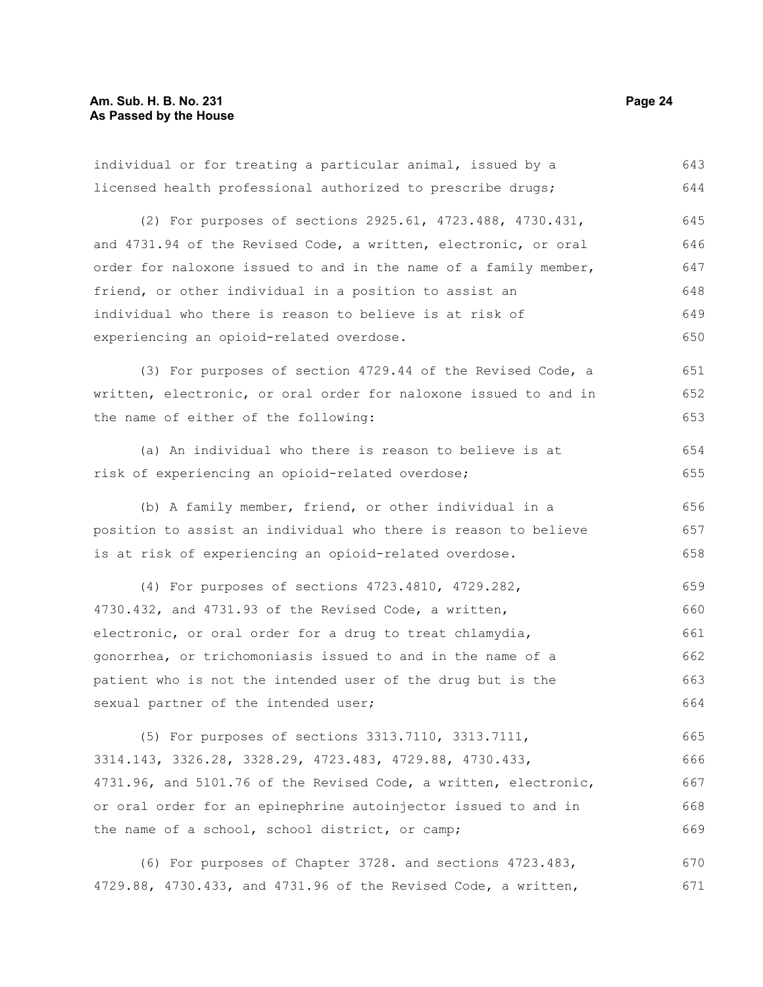individual or for treating a particular animal, issued by a licensed health professional authorized to prescribe drugs; (2) For purposes of sections 2925.61, 4723.488, 4730.431, and 4731.94 of the Revised Code, a written, electronic, or oral order for naloxone issued to and in the name of a family member, friend, or other individual in a position to assist an individual who there is reason to believe is at risk of experiencing an opioid-related overdose. (3) For purposes of section 4729.44 of the Revised Code, a written, electronic, or oral order for naloxone issued to and in the name of either of the following: (a) An individual who there is reason to believe is at risk of experiencing an opioid-related overdose; (b) A family member, friend, or other individual in a position to assist an individual who there is reason to believe is at risk of experiencing an opioid-related overdose. (4) For purposes of sections 4723.4810, 4729.282, 4730.432, and 4731.93 of the Revised Code, a written, electronic, or oral order for a drug to treat chlamydia, gonorrhea, or trichomoniasis issued to and in the name of a patient who is not the intended user of the drug but is the sexual partner of the intended user; (5) For purposes of sections 3313.7110, 3313.7111, 3314.143, 3326.28, 3328.29, 4723.483, 4729.88, 4730.433, 4731.96, and 5101.76 of the Revised Code, a written, electronic, or oral order for an epinephrine autoinjector issued to and in 643 644 645 646 647 648 649 650 651 652 653 654 655 656 657 658 659 660 661 662 663 664 665 666 667 668

(6) For purposes of Chapter 3728. and sections 4723.483, 4729.88, 4730.433, and 4731.96 of the Revised Code, a written, 670 671

the name of a school, school district, or camp;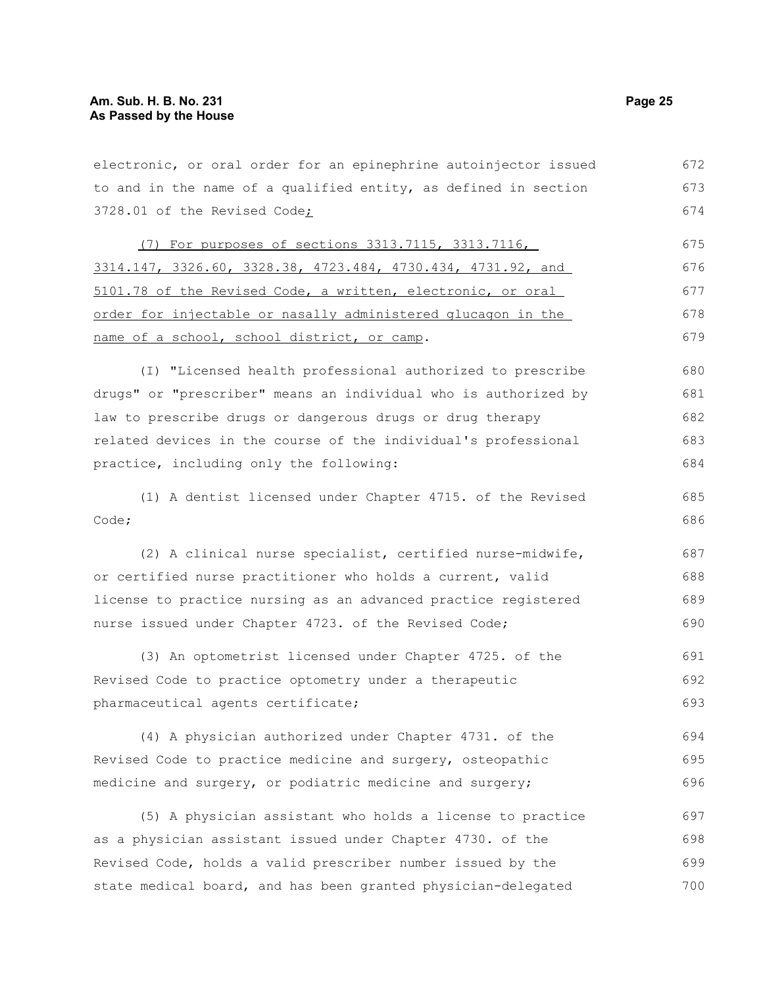| electronic, or oral order for an epinephrine autoinjector issued | 672 |
|------------------------------------------------------------------|-----|
| to and in the name of a qualified entity, as defined in section  | 673 |
| 3728.01 of the Revised Code;                                     | 674 |
| (7) For purposes of sections 3313.7115, 3313.7116,               | 675 |
| 3314.147, 3326.60, 3328.38, 4723.484, 4730.434, 4731.92, and     | 676 |
| 5101.78 of the Revised Code, a written, electronic, or oral      | 677 |
| order for injectable or nasally administered glucagon in the     | 678 |
| name of a school, school district, or camp.                      | 679 |
| (I) "Licensed health professional authorized to prescribe        | 680 |
| drugs" or "prescriber" means an individual who is authorized by  | 681 |
| law to prescribe drugs or dangerous drugs or drug therapy        | 682 |
| related devices in the course of the individual's professional   | 683 |
| practice, including only the following:                          | 684 |
| (1) A dentist licensed under Chapter 4715. of the Revised        | 685 |
| Code;                                                            | 686 |
| (2) A clinical nurse specialist, certified nurse-midwife,        | 687 |
| or certified nurse practitioner who holds a current, valid       | 688 |
| license to practice nursing as an advanced practice registered   | 689 |
| nurse issued under Chapter 4723. of the Revised Code;            | 690 |
| (3) An optometrist licensed under Chapter 4725. of the           | 691 |
| Revised Code to practice optometry under a therapeutic           | 692 |
| pharmaceutical agents certificate;                               | 693 |
| (4) A physician authorized under Chapter 4731. of the            | 694 |
| Revised Code to practice medicine and surgery, osteopathic       | 695 |
| medicine and surgery, or podiatric medicine and surgery;         | 696 |
| (5) A physician assistant who holds a license to practice        | 697 |
| as a physician assistant issued under Chapter 4730. of the       | 698 |
| Revised Code, holds a valid prescriber number issued by the      | 699 |
| state medical board, and has been granted physician-delegated    | 700 |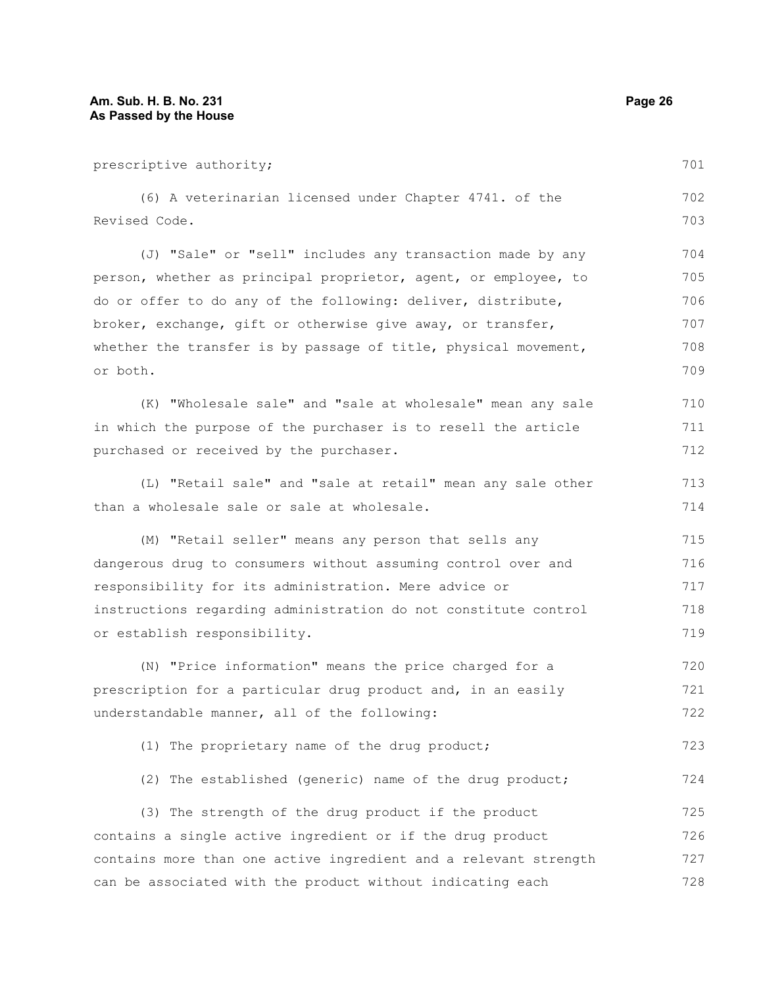prescriptive authority; (6) A veterinarian licensed under Chapter 4741. of the Revised Code. (J) "Sale" or "sell" includes any transaction made by any person, whether as principal proprietor, agent, or employee, to do or offer to do any of the following: deliver, distribute, broker, exchange, gift or otherwise give away, or transfer, whether the transfer is by passage of title, physical movement, or both. (K) "Wholesale sale" and "sale at wholesale" mean any sale in which the purpose of the purchaser is to resell the article purchased or received by the purchaser. (L) "Retail sale" and "sale at retail" mean any sale other than a wholesale sale or sale at wholesale. (M) "Retail seller" means any person that sells any dangerous drug to consumers without assuming control over and responsibility for its administration. Mere advice or instructions regarding administration do not constitute control or establish responsibility. (N) "Price information" means the price charged for a prescription for a particular drug product and, in an easily understandable manner, all of the following: (1) The proprietary name of the drug product; (2) The established (generic) name of the drug product; (3) The strength of the drug product if the product contains a single active ingredient or if the drug product 701 702 703 704 705 706 707 708 709 710 711 712 713 714 715 716 717 718 719 720 721 722 723 724 725 726

contains more than one active ingredient and a relevant strength

can be associated with the product without indicating each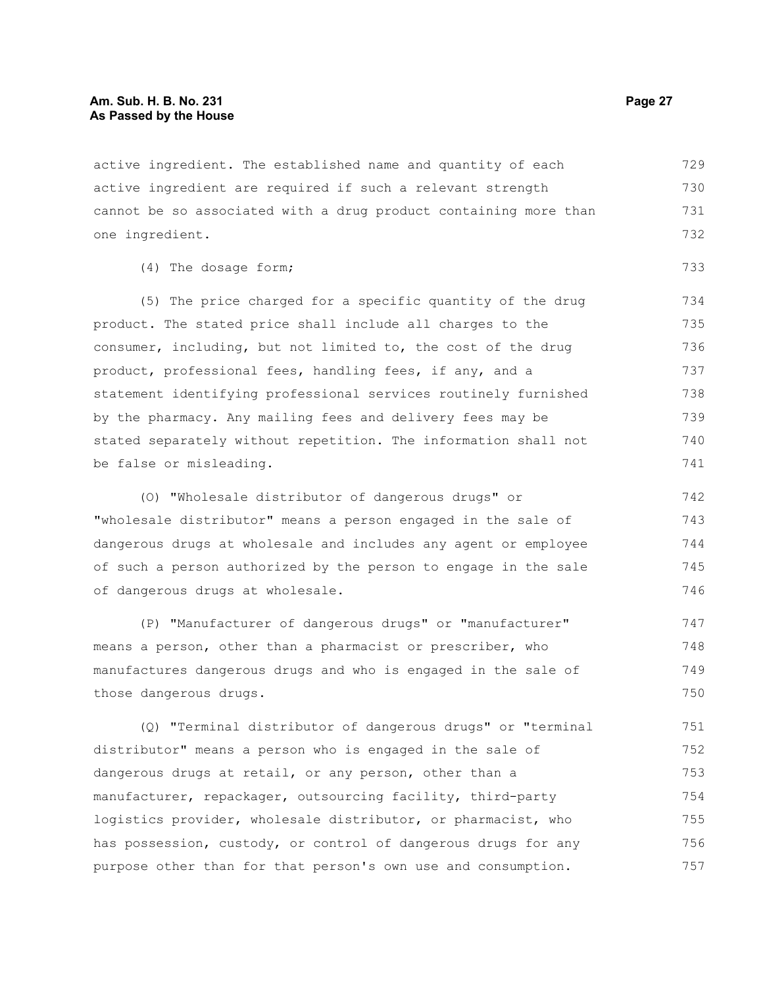active ingredient. The established name and quantity of each active ingredient are required if such a relevant strength cannot be so associated with a drug product containing more than one ingredient. 729 730 731 732

(4) The dosage form;

(5) The price charged for a specific quantity of the drug product. The stated price shall include all charges to the consumer, including, but not limited to, the cost of the drug product, professional fees, handling fees, if any, and a statement identifying professional services routinely furnished by the pharmacy. Any mailing fees and delivery fees may be stated separately without repetition. The information shall not be false or misleading. 734 735 736 737 738 739 740 741

(O) "Wholesale distributor of dangerous drugs" or "wholesale distributor" means a person engaged in the sale of dangerous drugs at wholesale and includes any agent or employee of such a person authorized by the person to engage in the sale of dangerous drugs at wholesale. 742 743 744 745 746

(P) "Manufacturer of dangerous drugs" or "manufacturer" means a person, other than a pharmacist or prescriber, who manufactures dangerous drugs and who is engaged in the sale of those dangerous drugs. 747 748 749 750

(Q) "Terminal distributor of dangerous drugs" or "terminal distributor" means a person who is engaged in the sale of dangerous drugs at retail, or any person, other than a manufacturer, repackager, outsourcing facility, third-party logistics provider, wholesale distributor, or pharmacist, who has possession, custody, or control of dangerous drugs for any purpose other than for that person's own use and consumption. 751 752 753 754 755 756 757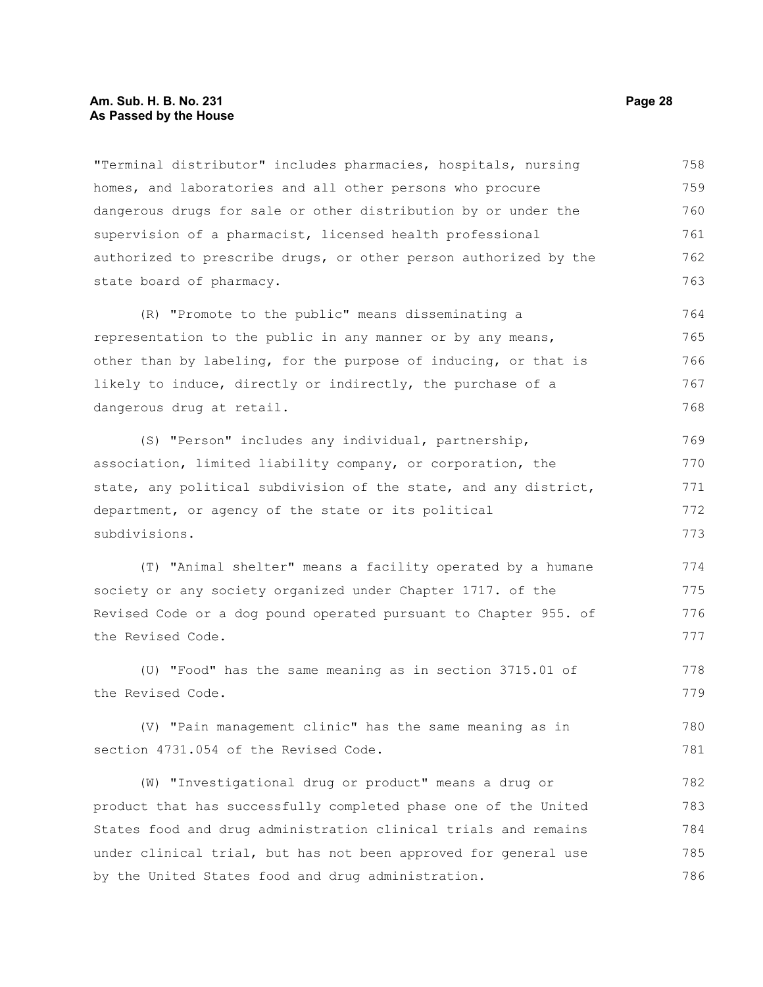#### **Am. Sub. H. B. No. 231 Page 28 As Passed by the House**

"Terminal distributor" includes pharmacies, hospitals, nursing homes, and laboratories and all other persons who procure dangerous drugs for sale or other distribution by or under the supervision of a pharmacist, licensed health professional authorized to prescribe drugs, or other person authorized by the state board of pharmacy. 758 759 760 761 762 763

(R) "Promote to the public" means disseminating a representation to the public in any manner or by any means, other than by labeling, for the purpose of inducing, or that is likely to induce, directly or indirectly, the purchase of a dangerous drug at retail. 764 765 766 767 768

(S) "Person" includes any individual, partnership, association, limited liability company, or corporation, the state, any political subdivision of the state, and any district, department, or agency of the state or its political subdivisions. 769 770 771 772 773

(T) "Animal shelter" means a facility operated by a humane society or any society organized under Chapter 1717. of the Revised Code or a dog pound operated pursuant to Chapter 955. of the Revised Code. 774 775 776 777

(U) "Food" has the same meaning as in section 3715.01 of the Revised Code. 778 779

(V) "Pain management clinic" has the same meaning as in section 4731.054 of the Revised Code.

(W) "Investigational drug or product" means a drug or product that has successfully completed phase one of the United States food and drug administration clinical trials and remains under clinical trial, but has not been approved for general use by the United States food and drug administration. 782 783 784 785 786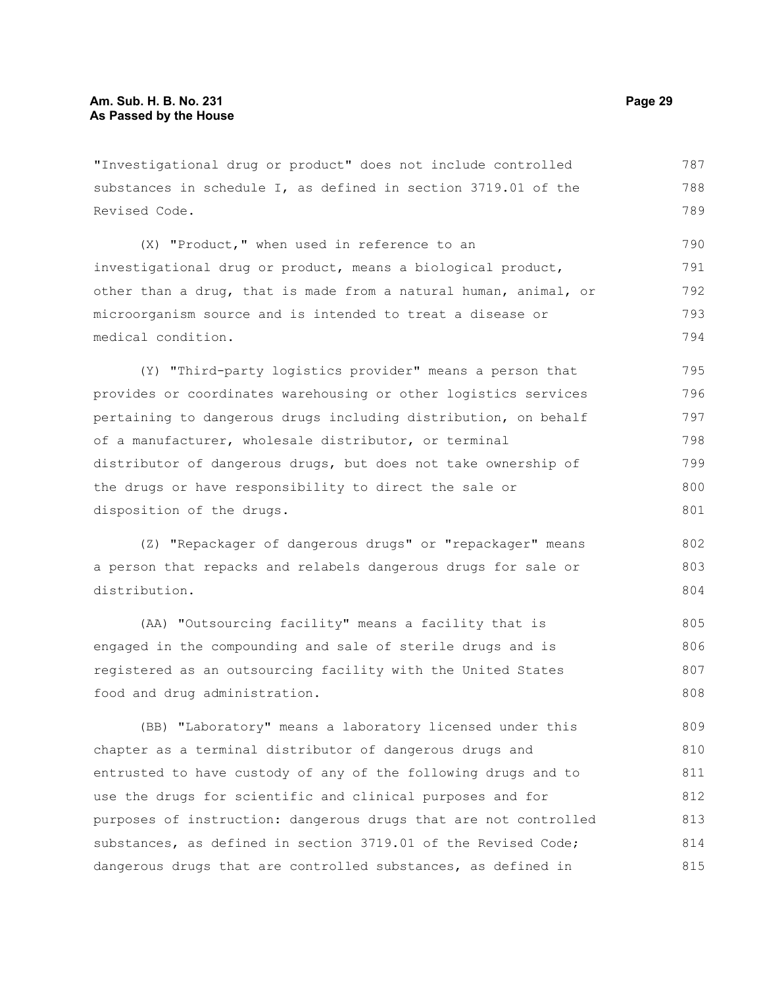"Investigational drug or product" does not include controlled substances in schedule I, as defined in section 3719.01 of the Revised Code. 787 788 789

(X) "Product," when used in reference to an investigational drug or product, means a biological product, other than a drug, that is made from a natural human, animal, or microorganism source and is intended to treat a disease or medical condition. 790 791 792 793 794

(Y) "Third-party logistics provider" means a person that provides or coordinates warehousing or other logistics services pertaining to dangerous drugs including distribution, on behalf of a manufacturer, wholesale distributor, or terminal distributor of dangerous drugs, but does not take ownership of the drugs or have responsibility to direct the sale or disposition of the drugs. 795 796 797 798 799 800 801

(Z) "Repackager of dangerous drugs" or "repackager" means a person that repacks and relabels dangerous drugs for sale or distribution.

(AA) "Outsourcing facility" means a facility that is engaged in the compounding and sale of sterile drugs and is registered as an outsourcing facility with the United States food and drug administration. 805 806 807 808

(BB) "Laboratory" means a laboratory licensed under this chapter as a terminal distributor of dangerous drugs and entrusted to have custody of any of the following drugs and to use the drugs for scientific and clinical purposes and for purposes of instruction: dangerous drugs that are not controlled substances, as defined in section 3719.01 of the Revised Code; dangerous drugs that are controlled substances, as defined in 809 810 811 812 813 814 815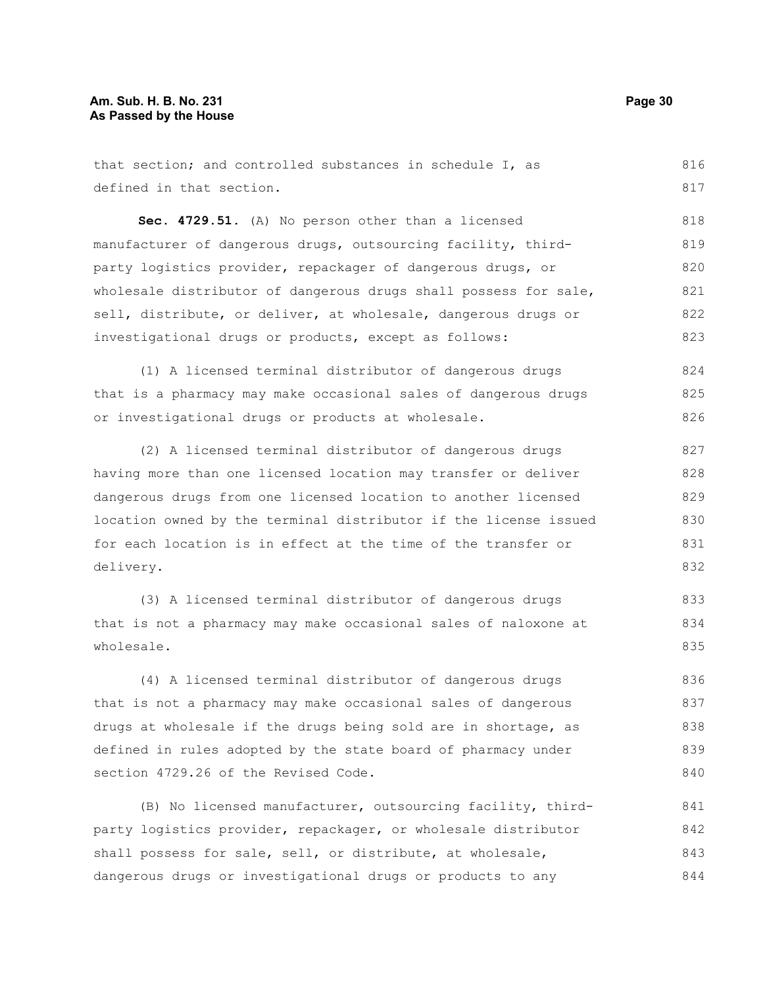that section; and controlled substances in schedule I, as defined in that section. 816 817

**Sec. 4729.51.** (A) No person other than a licensed manufacturer of dangerous drugs, outsourcing facility, thirdparty logistics provider, repackager of dangerous drugs, or wholesale distributor of dangerous drugs shall possess for sale, sell, distribute, or deliver, at wholesale, dangerous drugs or investigational drugs or products, except as follows: 818 819 820 821 822 823

(1) A licensed terminal distributor of dangerous drugs that is a pharmacy may make occasional sales of dangerous drugs or investigational drugs or products at wholesale. 824 825 826

(2) A licensed terminal distributor of dangerous drugs having more than one licensed location may transfer or deliver dangerous drugs from one licensed location to another licensed location owned by the terminal distributor if the license issued for each location is in effect at the time of the transfer or delivery.

(3) A licensed terminal distributor of dangerous drugs that is not a pharmacy may make occasional sales of naloxone at wholesale.

(4) A licensed terminal distributor of dangerous drugs that is not a pharmacy may make occasional sales of dangerous drugs at wholesale if the drugs being sold are in shortage, as defined in rules adopted by the state board of pharmacy under section 4729.26 of the Revised Code. 836 837 838 839 840

(B) No licensed manufacturer, outsourcing facility, thirdparty logistics provider, repackager, or wholesale distributor shall possess for sale, sell, or distribute, at wholesale, dangerous drugs or investigational drugs or products to any 841 842 843 844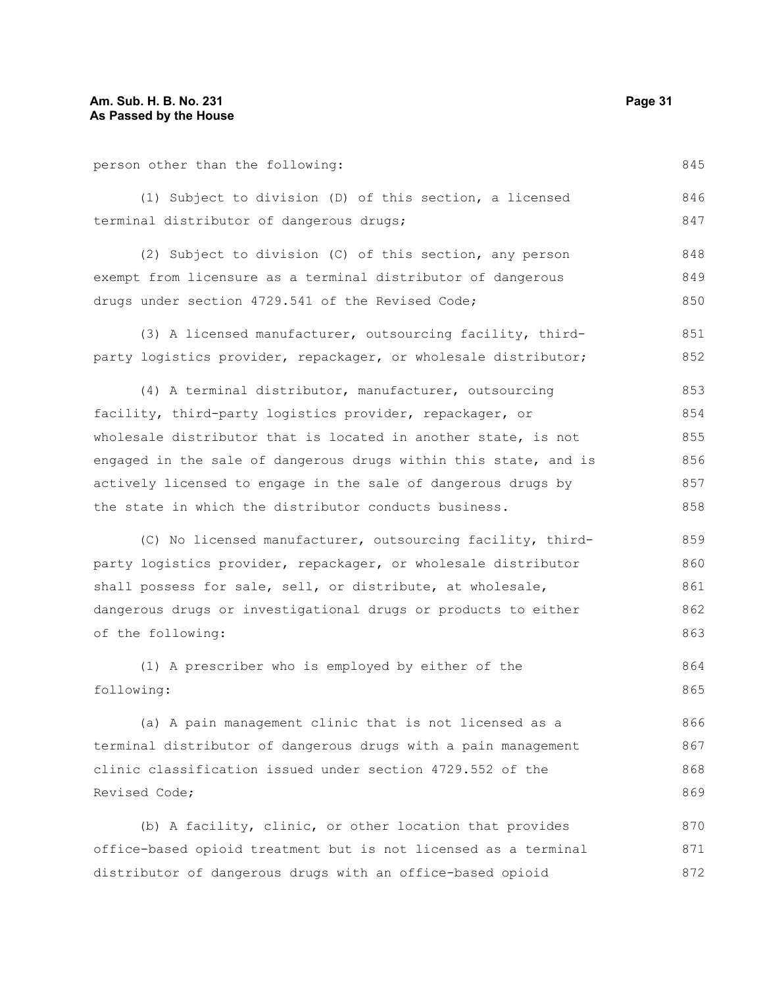person other than the following:

(1) Subject to division (D) of this section, a licensed terminal distributor of dangerous drugs; 846 847

(2) Subject to division (C) of this section, any person exempt from licensure as a terminal distributor of dangerous drugs under section 4729.541 of the Revised Code; 848 849 850

(3) A licensed manufacturer, outsourcing facility, thirdparty logistics provider, repackager, or wholesale distributor; 851 852

(4) A terminal distributor, manufacturer, outsourcing facility, third-party logistics provider, repackager, or wholesale distributor that is located in another state, is not engaged in the sale of dangerous drugs within this state, and is actively licensed to engage in the sale of dangerous drugs by the state in which the distributor conducts business. 853 854 855 856 857 858

(C) No licensed manufacturer, outsourcing facility, thirdparty logistics provider, repackager, or wholesale distributor shall possess for sale, sell, or distribute, at wholesale, dangerous drugs or investigational drugs or products to either of the following: 859 860 861 862 863

(1) A prescriber who is employed by either of the following: 864 865

(a) A pain management clinic that is not licensed as a terminal distributor of dangerous drugs with a pain management clinic classification issued under section 4729.552 of the Revised Code; 866 867 868 869

(b) A facility, clinic, or other location that provides office-based opioid treatment but is not licensed as a terminal distributor of dangerous drugs with an office-based opioid 870 871 872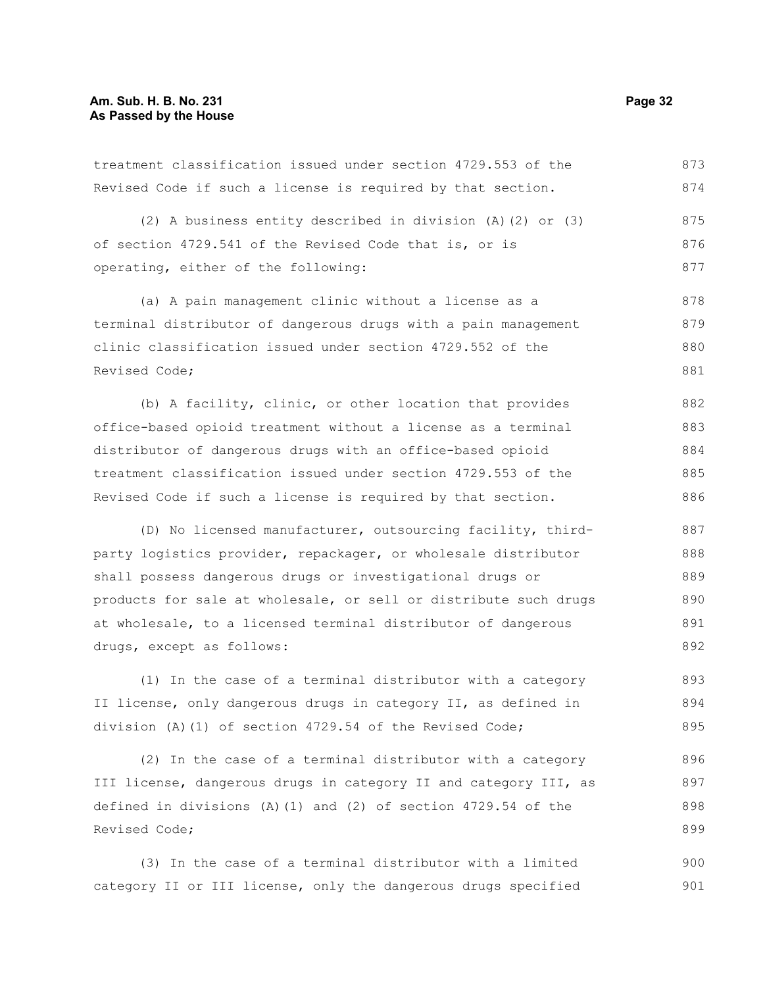treatment classification issued under section 4729.553 of the Revised Code if such a license is required by that section. 873 874

(2) A business entity described in division (A)(2) or (3) of section 4729.541 of the Revised Code that is, or is operating, either of the following: 875 876 877

(a) A pain management clinic without a license as a terminal distributor of dangerous drugs with a pain management clinic classification issued under section 4729.552 of the Revised Code; 878 879 880 881

(b) A facility, clinic, or other location that provides office-based opioid treatment without a license as a terminal distributor of dangerous drugs with an office-based opioid treatment classification issued under section 4729.553 of the Revised Code if such a license is required by that section. 882 883 884 885 886

(D) No licensed manufacturer, outsourcing facility, thirdparty logistics provider, repackager, or wholesale distributor shall possess dangerous drugs or investigational drugs or products for sale at wholesale, or sell or distribute such drugs at wholesale, to a licensed terminal distributor of dangerous drugs, except as follows: 887 888 889 890 891 892

(1) In the case of a terminal distributor with a category II license, only dangerous drugs in category II, as defined in division (A)(1) of section 4729.54 of the Revised Code; 893 894 895

(2) In the case of a terminal distributor with a category III license, dangerous drugs in category II and category III, as defined in divisions (A)(1) and (2) of section 4729.54 of the Revised Code; 896 897 898 899

(3) In the case of a terminal distributor with a limited category II or III license, only the dangerous drugs specified 900 901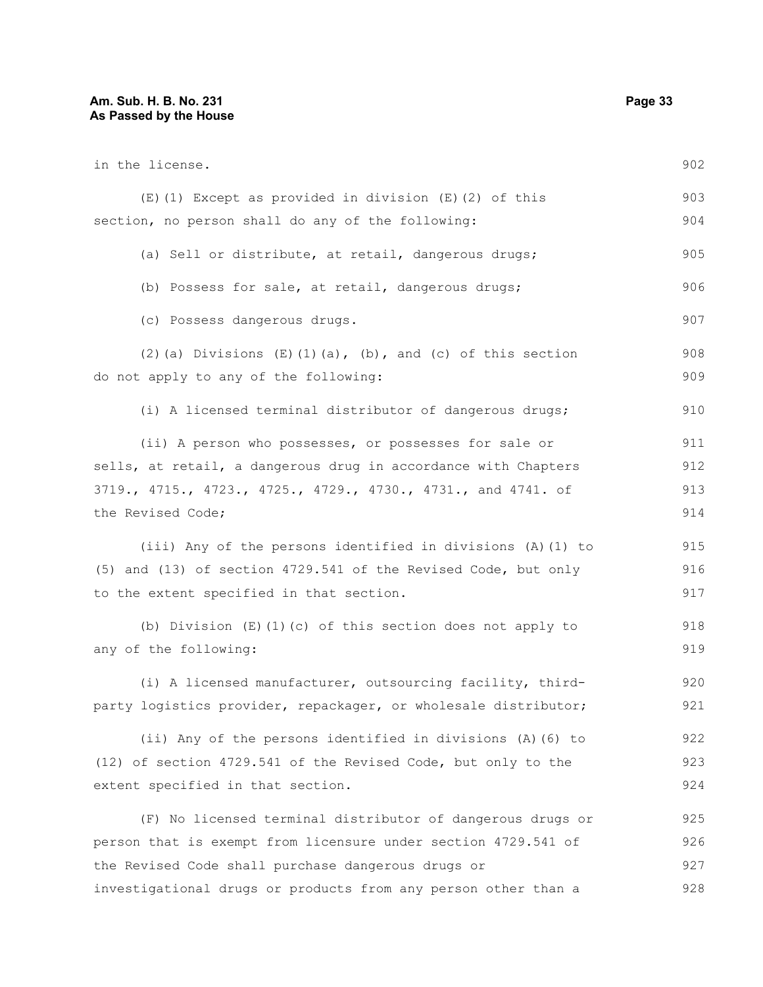| in the license.                                                           | 902 |
|---------------------------------------------------------------------------|-----|
| (E) (1) Except as provided in division (E) (2) of this                    | 903 |
| section, no person shall do any of the following:                         | 904 |
| (a) Sell or distribute, at retail, dangerous drugs;                       | 905 |
| (b) Possess for sale, at retail, dangerous drugs;                         | 906 |
| (c) Possess dangerous drugs.                                              | 907 |
| $(2)$ (a) Divisions $(E)$ $(1)$ $(a)$ , $(b)$ , and $(c)$ of this section | 908 |
| do not apply to any of the following:                                     | 909 |
| (i) A licensed terminal distributor of dangerous drugs;                   | 910 |
| (ii) A person who possesses, or possesses for sale or                     | 911 |
| sells, at retail, a dangerous drug in accordance with Chapters            | 912 |
| 3719., 4715., 4723., 4725., 4729., 4730., 4731., and 4741. of             | 913 |
| the Revised Code;                                                         | 914 |
| (iii) Any of the persons identified in divisions (A) (1) to               | 915 |
| (5) and (13) of section 4729.541 of the Revised Code, but only            | 916 |
| to the extent specified in that section.                                  | 917 |
| (b) Division $(E)$ (1) (c) of this section does not apply to              | 918 |
| any of the following:                                                     | 919 |
| (i) A licensed manufacturer, outsourcing facility, third-                 | 920 |
| party logistics provider, repackager, or wholesale distributor;           | 921 |
| (ii) Any of the persons identified in divisions (A) (6) to                | 922 |
| (12) of section 4729.541 of the Revised Code, but only to the             | 923 |
| extent specified in that section.                                         | 924 |
| (F) No licensed terminal distributor of dangerous drugs or                | 925 |
| person that is exempt from licensure under section 4729.541 of            | 926 |
| the Revised Code shall purchase dangerous drugs or                        | 927 |
| investigational drugs or products from any person other than a            | 928 |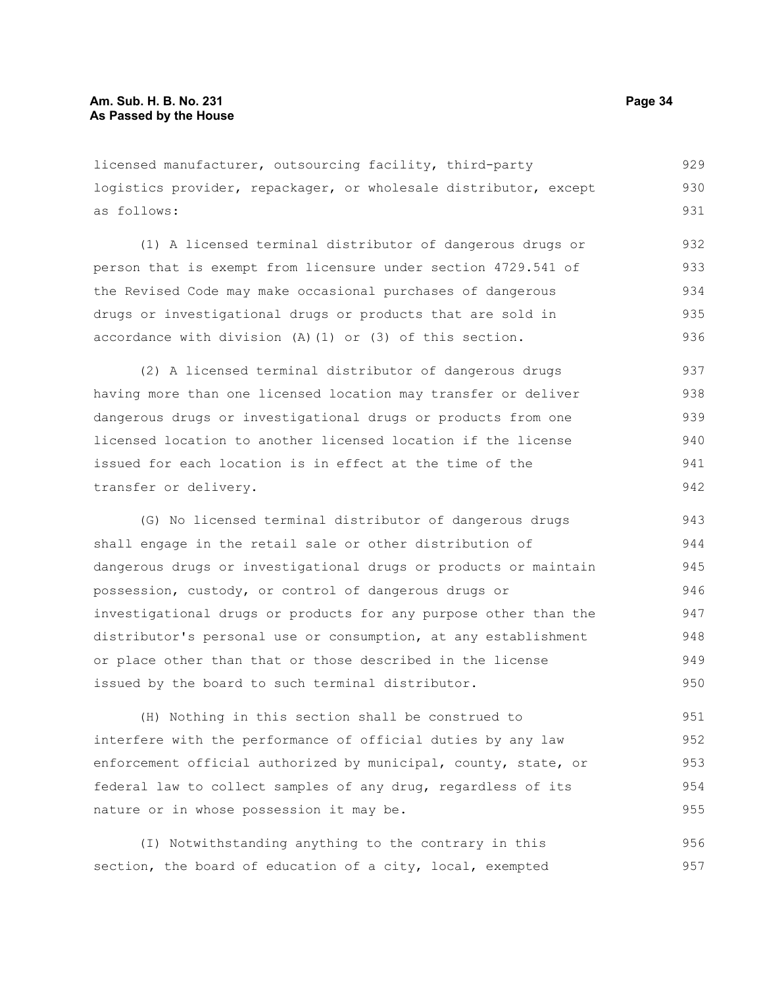licensed manufacturer, outsourcing facility, third-party logistics provider, repackager, or wholesale distributor, except as follows: 929 930 931

(1) A licensed terminal distributor of dangerous drugs or person that is exempt from licensure under section 4729.541 of the Revised Code may make occasional purchases of dangerous drugs or investigational drugs or products that are sold in accordance with division (A)(1) or (3) of this section. 932 933 934 935 936

(2) A licensed terminal distributor of dangerous drugs having more than one licensed location may transfer or deliver dangerous drugs or investigational drugs or products from one licensed location to another licensed location if the license issued for each location is in effect at the time of the transfer or delivery. 937 938 939 940 941 942

(G) No licensed terminal distributor of dangerous drugs shall engage in the retail sale or other distribution of dangerous drugs or investigational drugs or products or maintain possession, custody, or control of dangerous drugs or investigational drugs or products for any purpose other than the distributor's personal use or consumption, at any establishment or place other than that or those described in the license issued by the board to such terminal distributor. 943 944 945 946 947 948 949 950

(H) Nothing in this section shall be construed to interfere with the performance of official duties by any law enforcement official authorized by municipal, county, state, or federal law to collect samples of any drug, regardless of its nature or in whose possession it may be. 951 952 953 954 955

(I) Notwithstanding anything to the contrary in this section, the board of education of a city, local, exempted 956 957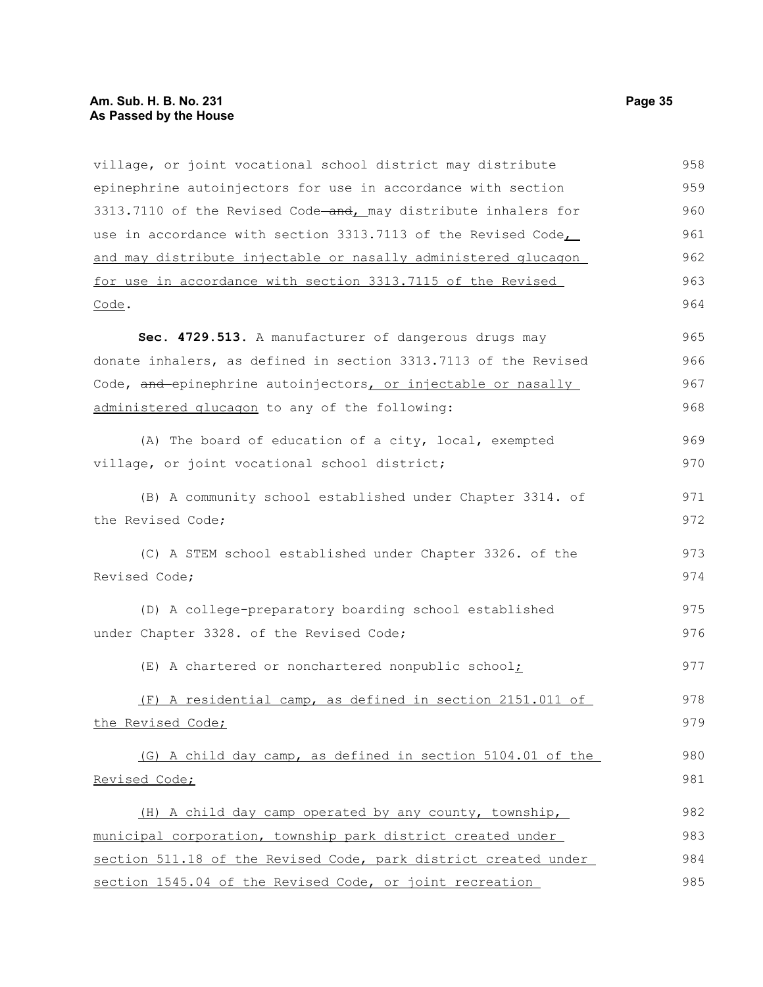#### **Am. Sub. H. B. No. 231 Page 35 As Passed by the House**

village, or joint vocational school district may distribute epinephrine autoinjectors for use in accordance with section 3313.7110 of the Revised Code-and, may distribute inhalers for use in accordance with section 3313.7113 of the Revised Code, and may distribute injectable or nasally administered glucagon for use in accordance with section 3313.7115 of the Revised Code. **Sec. 4729.513.** A manufacturer of dangerous drugs may donate inhalers, as defined in section 3313.7113 of the Revised Code, and epinephrine autoinjectors, or injectable or nasally administered glucagon to any of the following: (A) The board of education of a city, local, exempted village, or joint vocational school district; (B) A community school established under Chapter 3314. of the Revised Code; (C) A STEM school established under Chapter 3326. of the Revised Code; (D) A college-preparatory boarding school established under Chapter 3328. of the Revised Code; (E) A chartered or nonchartered nonpublic school; (F) A residential camp, as defined in section 2151.011 of the Revised Code; (G) A child day camp, as defined in section 5104.01 of the Revised Code; (H) A child day camp operated by any county, township, municipal corporation, township park district created under section 511.18 of the Revised Code, park district created under section 1545.04 of the Revised Code, or joint recreation 958 959 960 961 962 963 964 965 966 967 968 969 970 971 972 973 974 975 976 977 978 979 980 981 982 983 984 985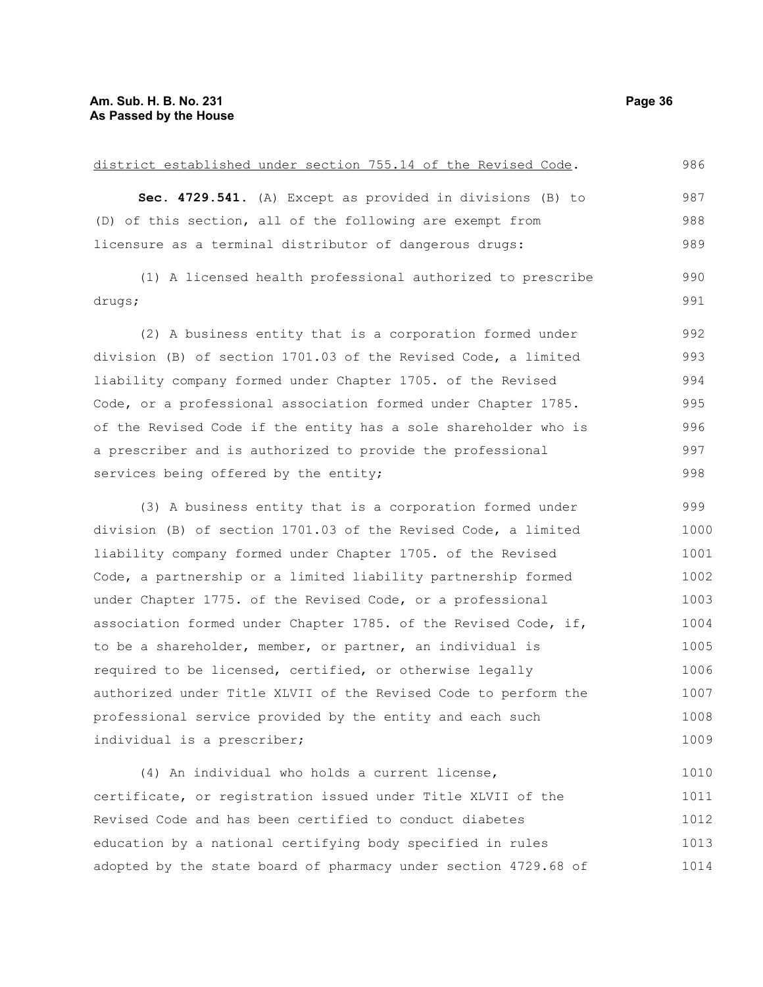| district established under section 755.14 of the Revised Code.  | 986  |
|-----------------------------------------------------------------|------|
| Sec. 4729.541. (A) Except as provided in divisions (B) to       | 987  |
| (D) of this section, all of the following are exempt from       | 988  |
| licensure as a terminal distributor of dangerous drugs:         | 989  |
| (1) A licensed health professional authorized to prescribe      | 990  |
| drugs;                                                          | 991  |
| (2) A business entity that is a corporation formed under        | 992  |
| division (B) of section 1701.03 of the Revised Code, a limited  | 993  |
| liability company formed under Chapter 1705. of the Revised     | 994  |
| Code, or a professional association formed under Chapter 1785.  | 995  |
| of the Revised Code if the entity has a sole shareholder who is | 996  |
| a prescriber and is authorized to provide the professional      | 997  |
| services being offered by the entity;                           | 998  |
| (3) A business entity that is a corporation formed under        | 999  |
| division (B) of section 1701.03 of the Revised Code, a limited  | 1000 |
| liability company formed under Chapter 1705. of the Revised     | 1001 |
| Code, a partnership or a limited liability partnership formed   | 1002 |
| under Chapter 1775. of the Revised Code, or a professional      | 1003 |
| association formed under Chapter 1785. of the Revised Code, if, | 1004 |
| to be a shareholder, member, or partner, an individual is       | 1005 |
| required to be licensed, certified, or otherwise legally        | 1006 |
| authorized under Title XLVII of the Revised Code to perform the | 1007 |
| professional service provided by the entity and each such       | 1008 |
| individual is a prescriber;                                     | 1009 |
| (4) An individual who holds a current license,                  | 1010 |
| certificate, or registration issued under Title XLVII of the    | 1011 |
| Revised Code and has been certified to conduct diabetes         | 1012 |
| education by a national certifying body specified in rules      | 1013 |
| adopted by the state board of pharmacy under section 4729.68 of | 1014 |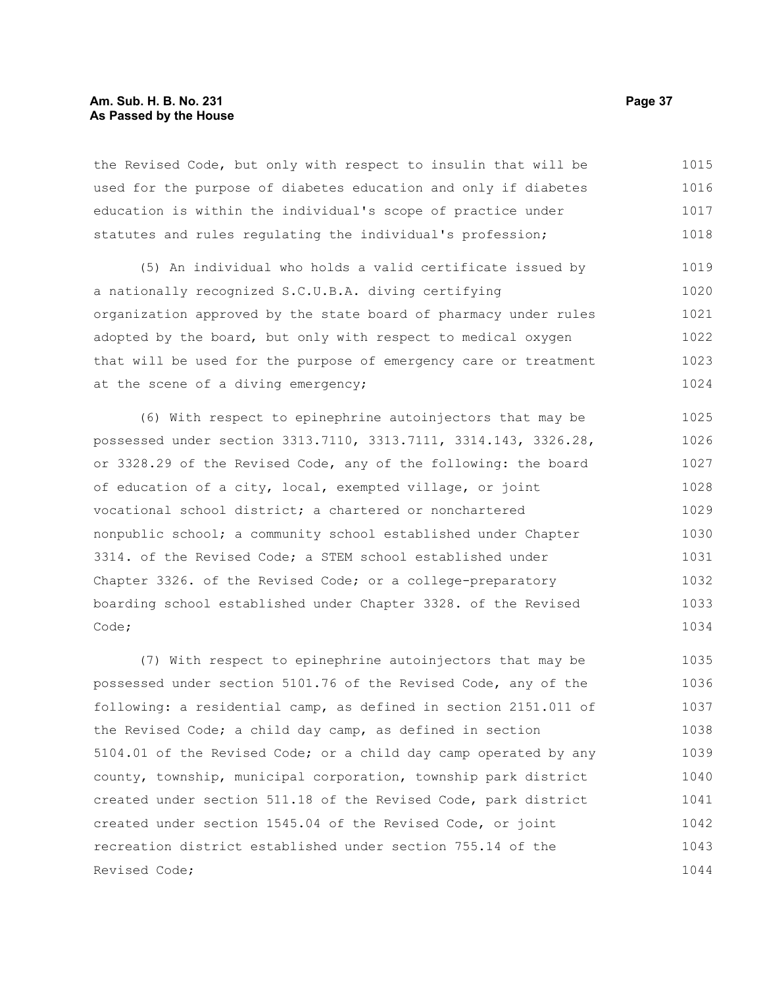#### **Am. Sub. H. B. No. 231 Page 37 As Passed by the House**

the Revised Code, but only with respect to insulin that will be used for the purpose of diabetes education and only if diabetes education is within the individual's scope of practice under statutes and rules regulating the individual's profession; 1015 1016 1017 1018

(5) An individual who holds a valid certificate issued by a nationally recognized S.C.U.B.A. diving certifying organization approved by the state board of pharmacy under rules adopted by the board, but only with respect to medical oxygen that will be used for the purpose of emergency care or treatment at the scene of a diving emergency; 1019 1020 1021 1022 1023 1024

(6) With respect to epinephrine autoinjectors that may be possessed under section 3313.7110, 3313.7111, 3314.143, 3326.28, or 3328.29 of the Revised Code, any of the following: the board of education of a city, local, exempted village, or joint vocational school district; a chartered or nonchartered nonpublic school; a community school established under Chapter 3314. of the Revised Code; a STEM school established under Chapter 3326. of the Revised Code; or a college-preparatory boarding school established under Chapter 3328. of the Revised Code; 1025 1026 1027 1028 1029 1030 1031 1032 1033 1034

(7) With respect to epinephrine autoinjectors that may be possessed under section 5101.76 of the Revised Code, any of the following: a residential camp, as defined in section 2151.011 of the Revised Code; a child day camp, as defined in section 5104.01 of the Revised Code; or a child day camp operated by any county, township, municipal corporation, township park district created under section 511.18 of the Revised Code, park district created under section 1545.04 of the Revised Code, or joint recreation district established under section 755.14 of the Revised Code; 1035 1036 1037 1038 1039 1040 1041 1042 1043 1044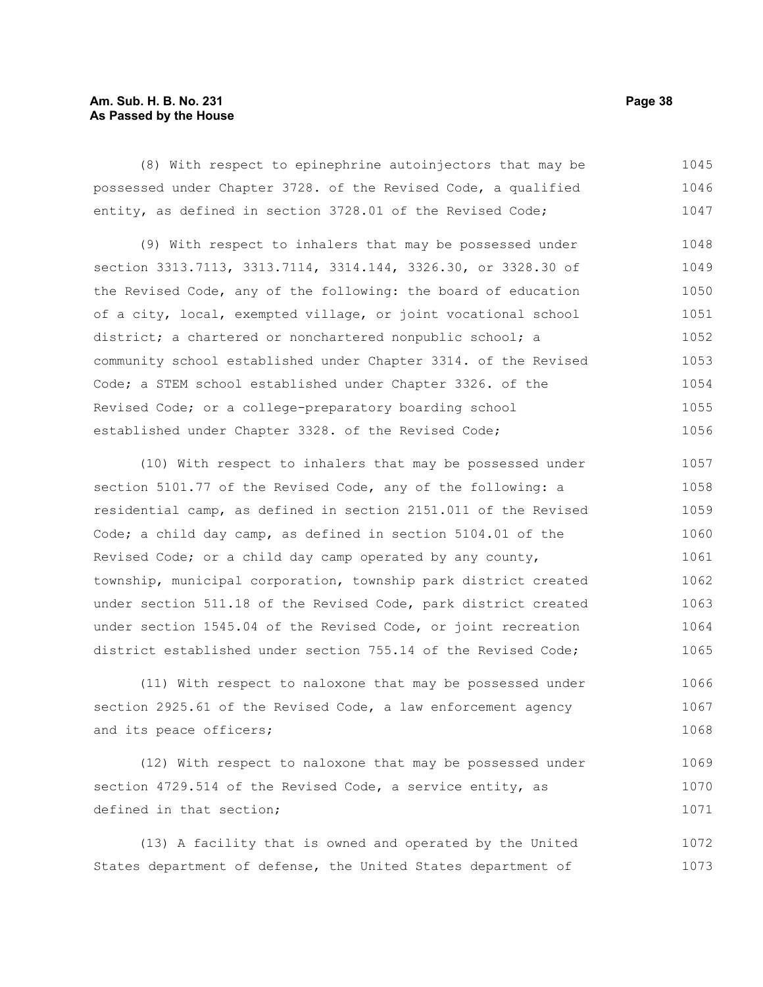#### **Am. Sub. H. B. No. 231 Page 38 As Passed by the House**

(8) With respect to epinephrine autoinjectors that may be possessed under Chapter 3728. of the Revised Code, a qualified entity, as defined in section 3728.01 of the Revised Code; 1045 1046 1047

(9) With respect to inhalers that may be possessed under section 3313.7113, 3313.7114, 3314.144, 3326.30, or 3328.30 of the Revised Code, any of the following: the board of education of a city, local, exempted village, or joint vocational school district; a chartered or nonchartered nonpublic school; a community school established under Chapter 3314. of the Revised Code; a STEM school established under Chapter 3326. of the Revised Code; or a college-preparatory boarding school established under Chapter 3328. of the Revised Code; 1048 1049 1050 1051 1052 1053 1054 1055 1056

(10) With respect to inhalers that may be possessed under section 5101.77 of the Revised Code, any of the following: a residential camp, as defined in section 2151.011 of the Revised Code; a child day camp, as defined in section 5104.01 of the Revised Code; or a child day camp operated by any county, township, municipal corporation, township park district created under section 511.18 of the Revised Code, park district created under section 1545.04 of the Revised Code, or joint recreation district established under section 755.14 of the Revised Code; 1057 1058 1059 1060 1061 1062 1063 1064 1065

(11) With respect to naloxone that may be possessed under section 2925.61 of the Revised Code, a law enforcement agency and its peace officers; 1066 1067 1068

(12) With respect to naloxone that may be possessed under section 4729.514 of the Revised Code, a service entity, as defined in that section; 1069 1070 1071

(13) A facility that is owned and operated by the United States department of defense, the United States department of 1072 1073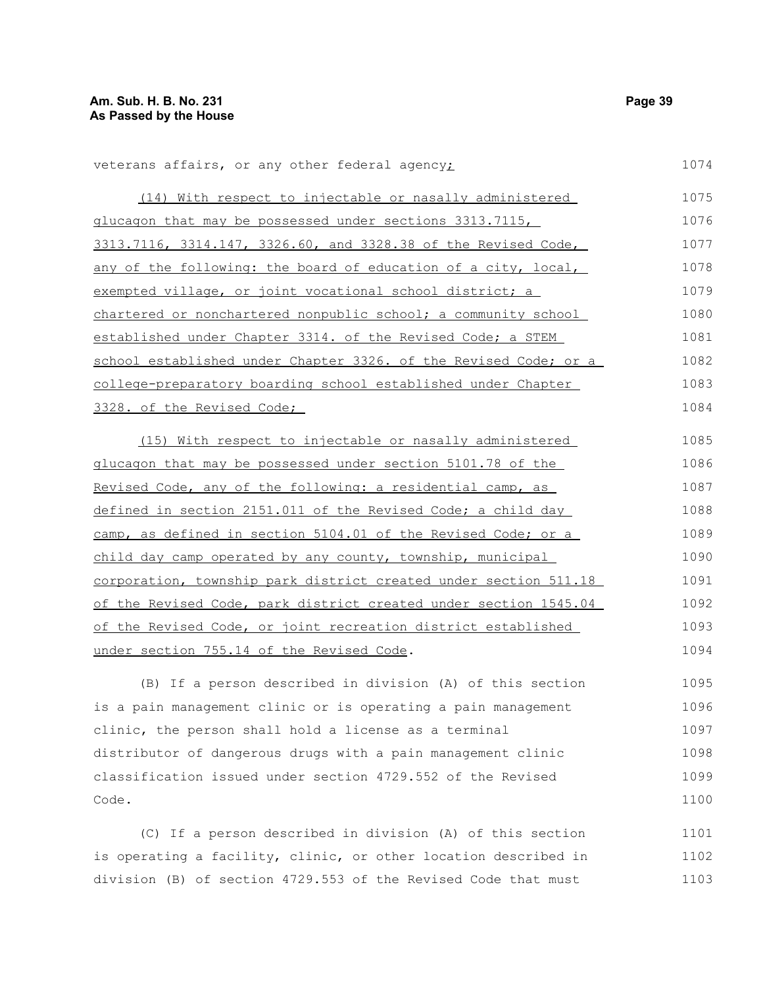| veterans affairs, or any other federal agency;                   | 1074 |
|------------------------------------------------------------------|------|
| (14) With respect to injectable or nasally administered          | 1075 |
| glucagon that may be possessed under sections 3313.7115,         | 1076 |
| 3313.7116, 3314.147, 3326.60, and 3328.38 of the Revised Code,   | 1077 |
| any of the following: the board of education of a city, local,   | 1078 |
| exempted village, or joint vocational school district; a         | 1079 |
| chartered or nonchartered nonpublic school; a community school   | 1080 |
| established under Chapter 3314. of the Revised Code; a STEM      | 1081 |
| school established under Chapter 3326. of the Revised Code; or a | 1082 |
| college-preparatory boarding school established under Chapter    | 1083 |
| 3328. of the Revised Code;                                       | 1084 |
| (15) With respect to injectable or nasally administered          | 1085 |
| glucagon that may be possessed under section 5101.78 of the      | 1086 |
| Revised Code, any of the following: a residential camp, as       | 1087 |
| defined in section 2151.011 of the Revised Code; a child day     | 1088 |
| camp, as defined in section 5104.01 of the Revised Code; or a    | 1089 |
| child day camp operated by any county, township, municipal       | 1090 |
| corporation, township park district created under section 511.18 | 1091 |
| of the Revised Code, park district created under section 1545.04 | 1092 |
| of the Revised Code, or joint recreation district established    | 1093 |
| under section 755.14 of the Revised Code.                        | 1094 |
| (B) If a person described in division (A) of this section        | 1095 |
| is a pain management clinic or is operating a pain management    | 1096 |

clinic, the person shall hold a license as a terminal distributor of dangerous drugs with a pain management clinic classification issued under section 4729.552 of the Revised Code. 1097 1098 1099 1100

(C) If a person described in division (A) of this section is operating a facility, clinic, or other location described in division (B) of section 4729.553 of the Revised Code that must 1101 1102 1103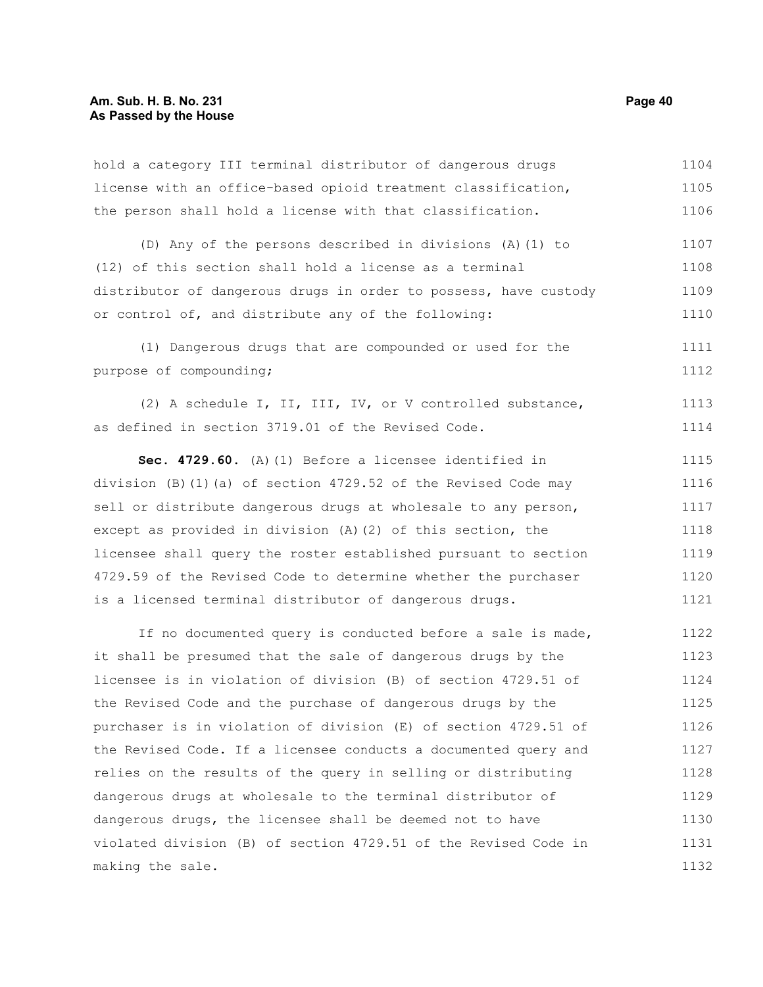#### **Am. Sub. H. B. No. 231 Page 40 As Passed by the House**

hold a category III terminal distributor of dangerous drugs license with an office-based opioid treatment classification, the person shall hold a license with that classification. 1104 1105 1106

(D) Any of the persons described in divisions (A)(1) to (12) of this section shall hold a license as a terminal distributor of dangerous drugs in order to possess, have custody or control of, and distribute any of the following: 1107 1108 1109 1110

(1) Dangerous drugs that are compounded or used for the purpose of compounding; 1111 1112

(2) A schedule I, II, III, IV, or V controlled substance, as defined in section 3719.01 of the Revised Code. 1113 1114

**Sec. 4729.60.** (A)(1) Before a licensee identified in division (B)(1)(a) of section 4729.52 of the Revised Code may sell or distribute dangerous drugs at wholesale to any person, except as provided in division (A)(2) of this section, the licensee shall query the roster established pursuant to section 4729.59 of the Revised Code to determine whether the purchaser is a licensed terminal distributor of dangerous drugs. 1115 1116 1117 1118 1119 1120 1121

If no documented query is conducted before a sale is made, it shall be presumed that the sale of dangerous drugs by the licensee is in violation of division (B) of section 4729.51 of the Revised Code and the purchase of dangerous drugs by the purchaser is in violation of division (E) of section 4729.51 of the Revised Code. If a licensee conducts a documented query and relies on the results of the query in selling or distributing dangerous drugs at wholesale to the terminal distributor of dangerous drugs, the licensee shall be deemed not to have violated division (B) of section 4729.51 of the Revised Code in making the sale. 1122 1123 1124 1125 1126 1127 1128 1129 1130 1131 1132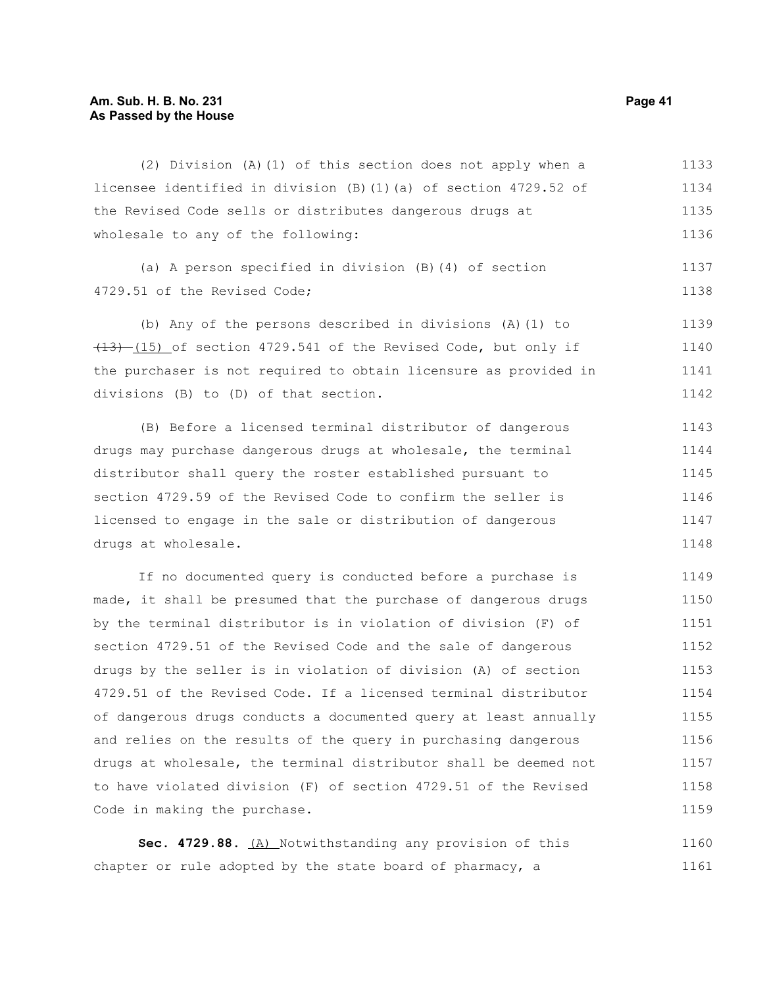#### **Am. Sub. H. B. No. 231 Page 41 As Passed by the House**

(2) Division (A)(1) of this section does not apply when a licensee identified in division (B)(1)(a) of section 4729.52 of the Revised Code sells or distributes dangerous drugs at wholesale to any of the following: 1133 1134 1135 1136

(a) A person specified in division (B)(4) of section 4729.51 of the Revised Code;

(b) Any of the persons described in divisions (A)(1) to  $(13)$   $(15)$  of section 4729.541 of the Revised Code, but only if the purchaser is not required to obtain licensure as provided in divisions (B) to (D) of that section. 1139 1140 1141 1142

(B) Before a licensed terminal distributor of dangerous drugs may purchase dangerous drugs at wholesale, the terminal distributor shall query the roster established pursuant to section 4729.59 of the Revised Code to confirm the seller is licensed to engage in the sale or distribution of dangerous drugs at wholesale. 1143 1144 1145 1146 1147 1148

If no documented query is conducted before a purchase is made, it shall be presumed that the purchase of dangerous drugs by the terminal distributor is in violation of division (F) of section 4729.51 of the Revised Code and the sale of dangerous drugs by the seller is in violation of division (A) of section 4729.51 of the Revised Code. If a licensed terminal distributor of dangerous drugs conducts a documented query at least annually and relies on the results of the query in purchasing dangerous drugs at wholesale, the terminal distributor shall be deemed not to have violated division (F) of section 4729.51 of the Revised Code in making the purchase. 1149 1150 1151 1152 1153 1154 1155 1156 1157 1158 1159

Sec. 4729.88. (A) Notwithstanding any provision of this chapter or rule adopted by the state board of pharmacy, a 1160 1161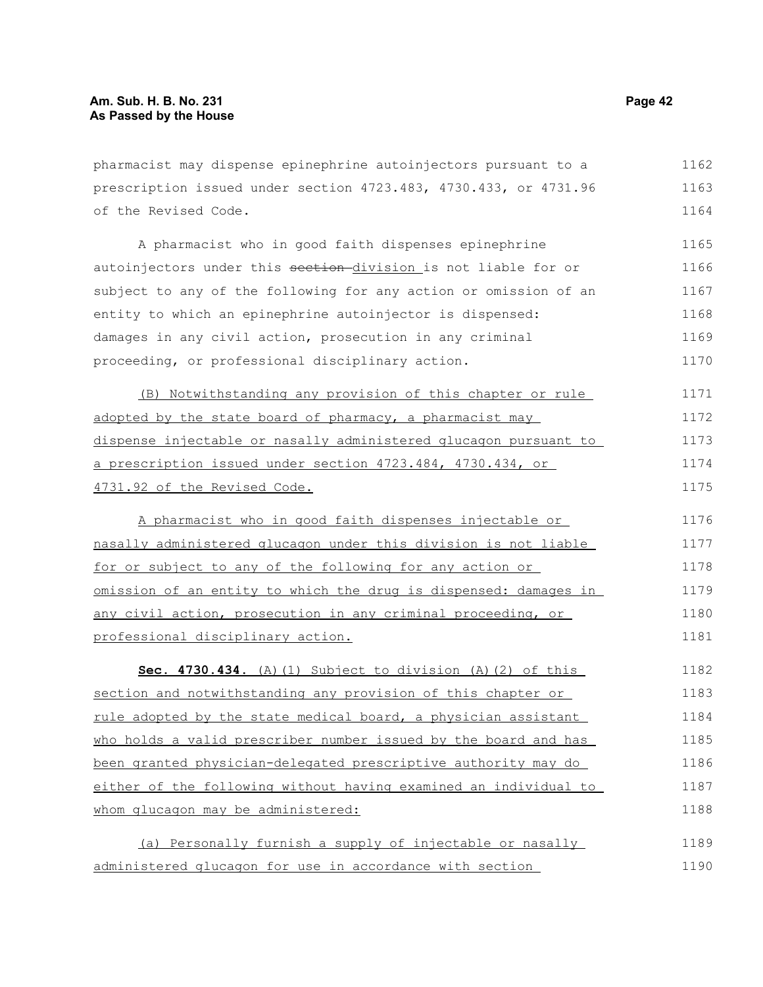pharmacist may dispense epinephrine autoinjectors pursuant to a prescription issued under section 4723.483, 4730.433, or 4731.96 of the Revised Code. 1162 1163 1164

A pharmacist who in good faith dispenses epinephrine autoinjectors under this section-division is not liable for or subject to any of the following for any action or omission of an entity to which an epinephrine autoinjector is dispensed: damages in any civil action, prosecution in any criminal proceeding, or professional disciplinary action. 1165 1166 1167 1168 1169 1170

(B) Notwithstanding any provision of this chapter or rule adopted by the state board of pharmacy, a pharmacist may dispense injectable or nasally administered glucagon pursuant to a prescription issued under section 4723.484, 4730.434, or 4731.92 of the Revised Code. 1171 1172 1173 1174 1175

A pharmacist who in good faith dispenses injectable or nasally administered glucagon under this division is not liable for or subject to any of the following for any action or omission of an entity to which the drug is dispensed: damages in any civil action, prosecution in any criminal proceeding, or professional disciplinary action. 1176 1177 1178 1179 1180 1181

**Sec. 4730.434.** (A)(1) Subject to division (A)(2) of this section and notwithstanding any provision of this chapter or rule adopted by the state medical board, a physician assistant who holds a valid prescriber number issued by the board and has been granted physician-delegated prescriptive authority may do either of the following without having examined an individual to whom glucagon may be administered: 1182 1183 1184 1185 1186 1187 1188

(a) Personally furnish a supply of injectable or nasally administered glucagon for use in accordance with section 1189 1190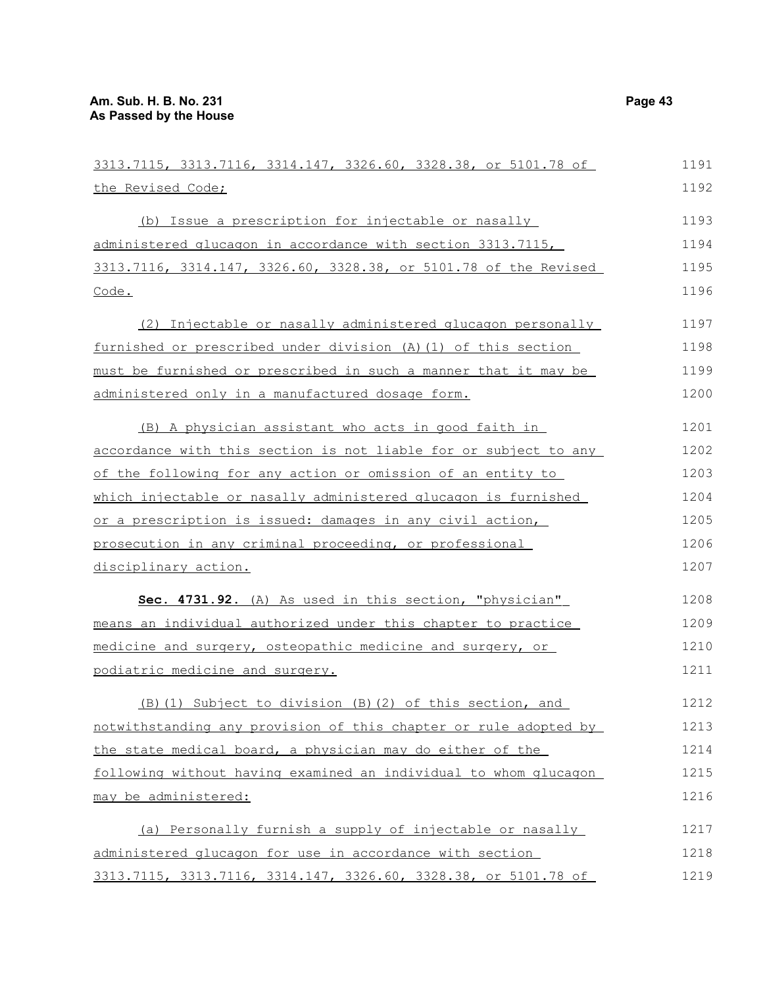| 3313.7115, 3313.7116, 3314.147, 3326.60, 3328.38, or 5101.78 of  | 1191 |
|------------------------------------------------------------------|------|
| the Revised Code;                                                | 1192 |
| (b) Issue a prescription for injectable or nasally               | 1193 |
| administered glucagon in accordance with section 3313.7115,      | 1194 |
| 3313.7116, 3314.147, 3326.60, 3328.38, or 5101.78 of the Revised | 1195 |
| Code.                                                            | 1196 |
| (2) Injectable or nasally administered glucagon personally       | 1197 |
| furnished or prescribed under division (A) (1) of this section   | 1198 |
| must be furnished or prescribed in such a manner that it may be  | 1199 |
| administered only in a manufactured dosage form.                 | 1200 |
| (B) A physician assistant who acts in good faith in              | 1201 |
| accordance with this section is not liable for or subject to any | 1202 |
| of the following for any action or omission of an entity to      | 1203 |
| which injectable or nasally administered glucagon is furnished   | 1204 |
| or a prescription is issued: damages in any civil action,        | 1205 |
| prosecution in any criminal proceeding, or professional          | 1206 |
| disciplinary action.                                             | 1207 |
| Sec. 4731.92. (A) As used in this section, "physician"           | 1208 |
| means an individual authorized under this chapter to practice    | 1209 |
| medicine and surgery, osteopathic medicine and surgery, or       | 1210 |
| podiatric medicine and surgery.                                  | 1211 |
| (B) (1) Subject to division (B) (2) of this section, and         | 1212 |
| notwithstanding any provision of this chapter or rule adopted by | 1213 |
| the state medical board, a physician may do either of the        | 1214 |
| following without having examined an individual to whom glucagon | 1215 |
| may be administered:                                             | 1216 |
| (a) Personally furnish a supply of injectable or nasally         | 1217 |
| administered glucagon for use in accordance with section         | 1218 |
| 3313.7115, 3313.7116, 3314.147, 3326.60, 3328.38, or 5101.78 of  | 1219 |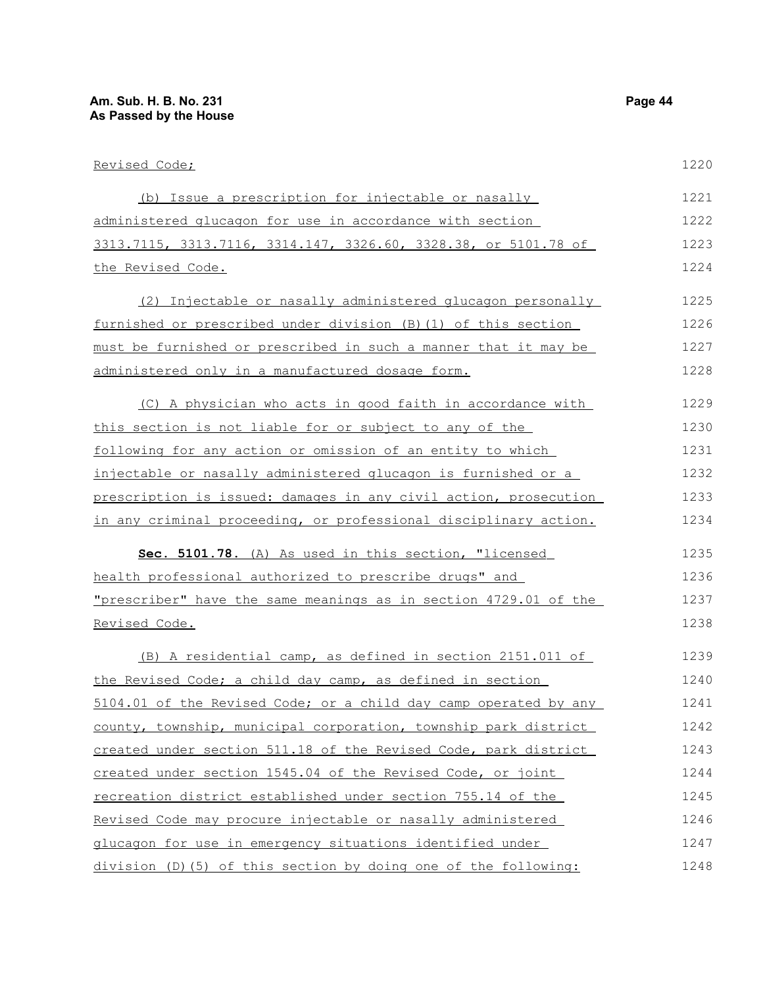| Revised Code;                                                    | 1220 |
|------------------------------------------------------------------|------|
| (b) Issue a prescription for injectable or nasally               | 1221 |
| administered glucagon for use in accordance with section         | 1222 |
| 3313.7115, 3313.7116, 3314.147, 3326.60, 3328.38, or 5101.78 of  | 1223 |
| <u>the Revised Code.</u>                                         | 1224 |
| (2) Injectable or nasally administered glucagon personally       | 1225 |
| furnished or prescribed under division (B) (1) of this section   | 1226 |
| must be furnished or prescribed in such a manner that it may be  | 1227 |
| administered only in a manufactured dosage form.                 | 1228 |
| (C) A physician who acts in good faith in accordance with        | 1229 |
| this section is not liable for or subject to any of the          | 1230 |
| following for any action or omission of an entity to which       | 1231 |
| injectable or nasally administered glucagon is furnished or a    | 1232 |
| prescription is issued: damages in any civil action, prosecution | 1233 |
| in any criminal proceeding, or professional disciplinary action. | 1234 |
| Sec. 5101.78. (A) As used in this section, "licensed             | 1235 |
| health professional authorized to prescribe drugs" and           | 1236 |
| "prescriber" have the same meanings as in section 4729.01 of the | 1237 |
| <u>Revised Code.</u>                                             | 1238 |
| (B) A residential camp, as defined in section 2151.011 of        | 1239 |
| the Revised Code; a child day camp, as defined in section        | 1240 |
| 5104.01 of the Revised Code; or a child day camp operated by any | 1241 |
| county, township, municipal corporation, township park district  | 1242 |
| created under section 511.18 of the Revised Code, park district  | 1243 |
| created under section 1545.04 of the Revised Code, or joint      | 1244 |
| recreation district established under section 755.14 of the      | 1245 |
| Revised Code may procure injectable or nasally administered      | 1246 |
| glucagon for use in emergency situations identified under        | 1247 |
| division (D) (5) of this section by doing one of the following:  | 1248 |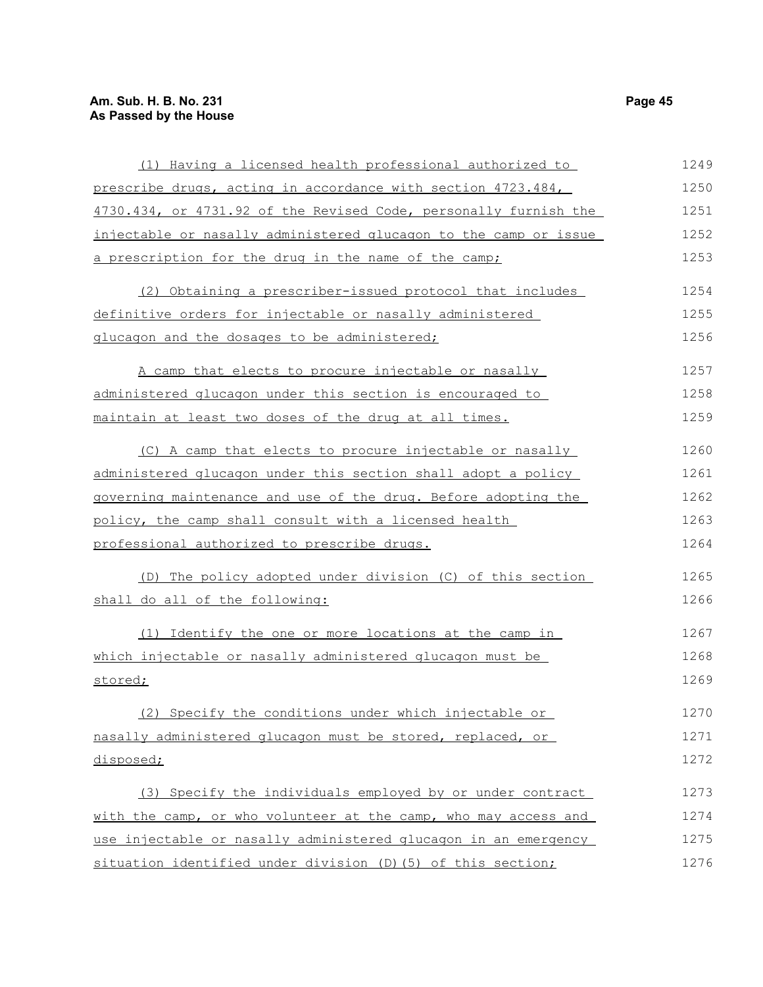### **Am. Sub. H. B. No. 231 Page 45 As Passed by the House**

| (1) Having a licensed health professional authorized to          | 1249 |
|------------------------------------------------------------------|------|
| prescribe drugs, acting in accordance with section 4723.484,     | 1250 |
| 4730.434, or 4731.92 of the Revised Code, personally furnish the | 1251 |
| injectable or nasally administered glucagon to the camp or issue | 1252 |
| a prescription for the drug in the name of the camp;             | 1253 |
| (2) Obtaining a prescriber-issued protocol that includes         | 1254 |
| definitive orders for injectable or nasally administered         | 1255 |
| glucagon and the dosages to be administered;                     | 1256 |
| A camp that elects to procure injectable or nasally              | 1257 |
| administered glucagon under this section is encouraged to        | 1258 |
| maintain at least two doses of the drug at all times.            | 1259 |
| (C) A camp that elects to procure injectable or nasally          | 1260 |
| administered glucagon under this section shall adopt a policy    | 1261 |
| governing maintenance and use of the drug. Before adopting the   | 1262 |
| policy, the camp shall consult with a licensed health            | 1263 |
| professional authorized to prescribe drugs.                      | 1264 |
| (D) The policy adopted under division (C) of this section        | 1265 |
| shall do all of the following:                                   | 1266 |
| (1) Identify the one or more locations at the camp in            | 1267 |
| which injectable or nasally administered glucagon must be        | 1268 |
| stored;                                                          | 1269 |
| Specify the conditions under which injectable or                 | 1270 |
| nasally administered glucagon must be stored, replaced, or       | 1271 |
| disposed;                                                        | 1272 |
| (3) Specify the individuals employed by or under contract        | 1273 |
| with the camp, or who volunteer at the camp, who may access and  | 1274 |
| use injectable or nasally administered glucagon in an emergency  | 1275 |
| situation identified under division (D) (5) of this section;     | 1276 |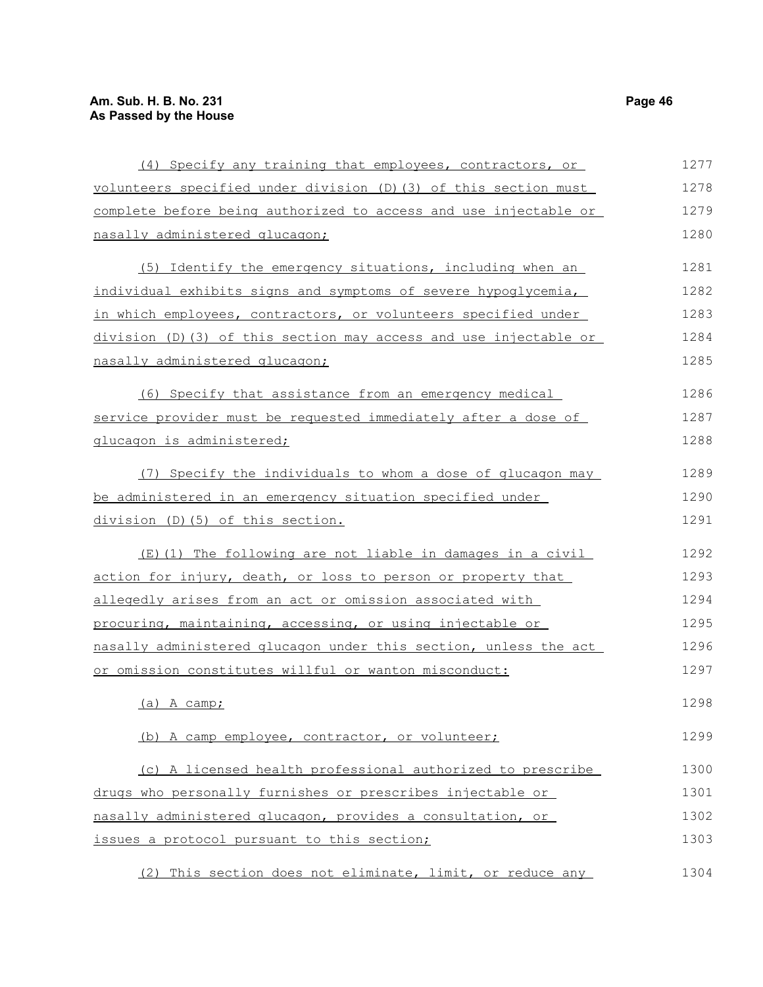| (4) Specify any training that employees, contractors, or          | 1277 |
|-------------------------------------------------------------------|------|
| volunteers specified under division (D) (3) of this section must  | 1278 |
| complete before being authorized to access and use injectable or  | 1279 |
| nasally administered glucagon;                                    | 1280 |
| (5) Identify the emergency situations, including when an          | 1281 |
| individual exhibits signs and symptoms of severe hypoglycemia,    | 1282 |
| in which employees, contractors, or volunteers specified under    | 1283 |
| division (D) (3) of this section may access and use injectable or | 1284 |
| nasally administered glucagon;                                    | 1285 |
| (6) Specify that assistance from an emergency medical             | 1286 |
| service provider must be requested immediately after a dose of    | 1287 |
| glucagon is administered;                                         | 1288 |
| (7) Specify the individuals to whom a dose of glucagon may        | 1289 |
| be administered in an emergency situation specified under         | 1290 |
| division (D) (5) of this section.                                 | 1291 |
| (E)(1) The following are not liable in damages in a civil         | 1292 |
| action for injury, death, or loss to person or property that      | 1293 |
| allegedly arises from an act or omission associated with          | 1294 |
| procuring, maintaining, accessing, or using injectable or         | 1295 |
| nasally administered glucagon under this section, unless the act  | 1296 |
| or omission constitutes willful or wanton misconduct:             | 1297 |
| $(a)$ A camp;                                                     | 1298 |
| (b) A camp employee, contractor, or volunteer;                    | 1299 |
| (c) A licensed health professional authorized to prescribe        | 1300 |
| drugs who personally furnishes or prescribes injectable or        | 1301 |
| nasally administered glucagon, provides a consultation, or        | 1302 |
| issues a protocol pursuant to this section;                       | 1303 |
| (2) This section does not eliminate, limit, or reduce any         | 1304 |